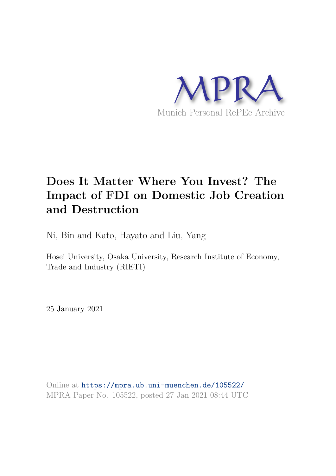

# **Does It Matter Where You Invest? The Impact of FDI on Domestic Job Creation and Destruction**

Ni, Bin and Kato, Hayato and Liu, Yang

Hosei University, Osaka University, Research Institute of Economy, Trade and Industry (RIETI)

25 January 2021

Online at https://mpra.ub.uni-muenchen.de/105522/ MPRA Paper No. 105522, posted 27 Jan 2021 08:44 UTC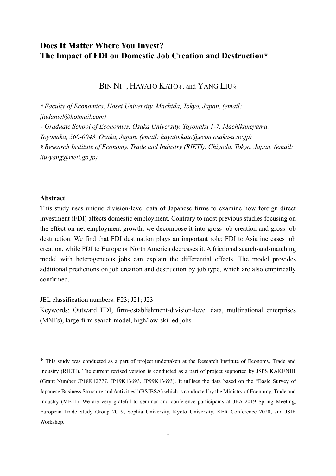# **Does It Matter Where You Invest? The Impact of FDI on Domestic Job Creation and Destruction\***

BIN NI<sup>†</sup>, HAYATO KATO‡, and YANG LIU§

†*Faculty of Economics, Hosei University, Machida, Tokyo, Japan. (email: [jiadaniel@hotmail.com\)](mailto:jiadaniel@hotmail.com)* ‡*Graduate School of Economics, Osaka University, Toyonaka 1-7, Machikaneyama, Toyonaka, 560-0043, Osaka, Japan. (email: hayato.kato@econ.osaka-u.ac.jp)* §*Research Institute of Economy, Trade and Industry (RIETI), Chiyoda, Tokyo. Japan. (email: liu-yang@rieti.go.jp)*

#### **Abstract**

This study uses unique division-level data of Japanese firms to examine how foreign direct investment (FDI) affects domestic employment. Contrary to most previous studies focusing on the effect on net employment growth, we decompose it into gross job creation and gross job destruction. We find that FDI destination plays an important role: FDI to Asia increases job creation, while FDI to Europe or North America decreases it. A frictional search-and-matching model with heterogeneous jobs can explain the differential effects. The model provides additional predictions on job creation and destruction by job type, which are also empirically confirmed.

JEL classification numbers: F23; J21; J23

Keywords: Outward FDI, firm-establishment-division-level data, multinational enterprises (MNEs), large-firm search model, high/low-skilled jobs

\* This study was conducted as a part of project undertaken at the Research Institute of Economy, Trade and Industry (RIETI). The current revised version is conducted as a part of project supported by JSPS KAKENHI (Grant Number JP18K12777, JP19K13693, JP99K13693). It utilises the data based on the "Basic Survey of Japanese Business Structure and Activities" (BSJBSA) which is conducted by the Ministry of Economy, Trade and Industry (METI). We are very grateful to seminar and conference participants at JEA 2019 Spring Meeting, European Trade Study Group 2019, Sophia University, Kyoto University, KER Conference 2020, and JSIE Workshop.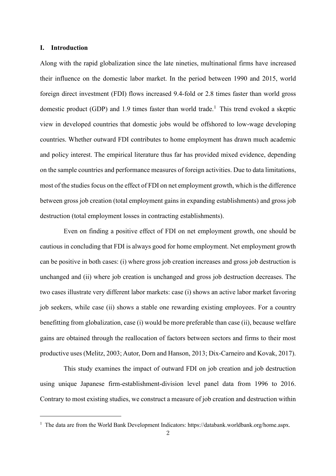#### **I. Introduction**

Along with the rapid globalization since the late nineties, multinational firms have increased their influence on the domestic labor market. In the period between 1990 and 2015, world foreign direct investment (FDI) flows increased 9.4-fold or 2.8 times faster than world gross domestic product (GDP) and 1.9 times faster than world trade.<sup>1</sup> This trend evoked a skeptic view in developed countries that domestic jobs would be offshored to low-wage developing countries. Whether outward FDI contributes to home employment has drawn much academic and policy interest. The empirical literature thus far has provided mixed evidence, depending on the sample countries and performance measures of foreign activities. Due to data limitations, most of the studies focus on the effect of FDI on net employment growth, which is the difference between gross job creation (total employment gains in expanding establishments) and gross job destruction (total employment losses in contracting establishments).

Even on finding a positive effect of FDI on net employment growth, one should be cautious in concluding that FDI is always good for home employment. Net employment growth can be positive in both cases: (i) where gross job creation increases and gross job destruction is unchanged and (ii) where job creation is unchanged and gross job destruction decreases. The two cases illustrate very different labor markets: case (i) shows an active labor market favoring job seekers, while case (ii) shows a stable one rewarding existing employees. For a country benefitting from globalization, case (i) would be more preferable than case (ii), because welfare gains are obtained through the reallocation of factors between sectors and firms to their most productive uses (Melitz, 2003; Autor, Dorn and Hanson, 2013; Dix-Carneiro and Kovak, 2017).

This study examines the impact of outward FDI on job creation and job destruction using unique Japanese firm-establishment-division level panel data from 1996 to 2016. Contrary to most existing studies, we construct a measure of job creation and destruction within

<sup>&</sup>lt;sup>1</sup> The data are from the World Bank Development Indicators: https://databank.worldbank.org/home.aspx.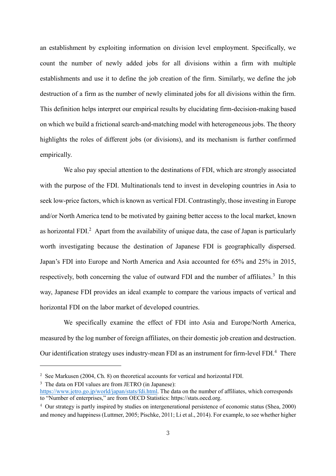an establishment by exploiting information on division level employment. Specifically, we count the number of newly added jobs for all divisions within a firm with multiple establishments and use it to define the job creation of the firm. Similarly, we define the job destruction of a firm as the number of newly eliminated jobs for all divisions within the firm. This definition helps interpret our empirical results by elucidating firm-decision-making based on which we build a frictional search-and-matching model with heterogeneous jobs. The theory highlights the roles of different jobs (or divisions), and its mechanism is further confirmed empirically.

We also pay special attention to the destinations of FDI, which are strongly associated with the purpose of the FDI. Multinationals tend to invest in developing countries in Asia to seek low-price factors, which is known as vertical FDI. Contrastingly, those investing in Europe and/or North America tend to be motivated by gaining better access to the local market, known as horizontal FDI $^2$  Apart from the availability of unique data, the case of Japan is particularly worth investigating because the destination of Japanese FDI is geographically dispersed. Japan's FDI into Europe and North America and Asia accounted for 65% and 25% in 2015, respectively, both concerning the value of outward FDI and the number of affiliates.<sup>3</sup> In this way, Japanese FDI provides an ideal example to compare the various impacts of vertical and horizontal FDI on the labor market of developed countries.

We specifically examine the effect of FDI into Asia and Europe/North America, measured by the log number of foreign affiliates, on their domestic job creation and destruction. Our identification strategy uses industry-mean FDI as an instrument for firm-level FDI. $4$  There

<sup>3</sup> The data on FDI values are from JETRO (in Japanese):

<sup>&</sup>lt;sup>2</sup> See Markusen (2004, Ch. 8) on theoretical accounts for vertical and horizontal FDI.

[https://www.jetro.go.jp/world/japan/stats/fdi.html.](https://www.jetro.go.jp/world/japan/stats/fdi.html) The data on the number of affiliates, which corresponds to "Number of enterprises," are from OECD Statistics: https://stats.oecd.org.

<sup>&</sup>lt;sup>4</sup> Our strategy is partly inspired by studies on intergenerational persistence of economic status (Shea, 2000) and money and happiness (Luttmer, 2005; Pischke, 2011; Li et al., 2014). For example, to see whether higher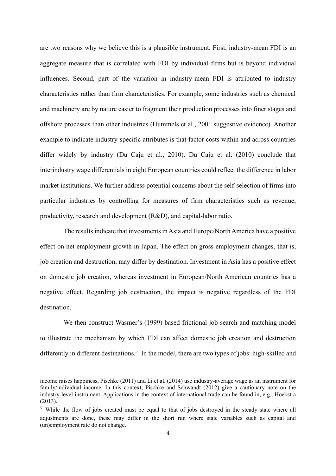are two reasons why we believe this is a plausible instrument. First, industry-mean FDI is an aggregate measure that is correlated with FDI by individual firms but is beyond individual influences. Second, part of the variation in industry-mean FDI is attributed to industry characteristics rather than firm characteristics. For example, some industries such as chemical and machinery are by nature easier to fragment their production processes into finer stages and offshore processes than other industries (Hummels et al., 2001 suggestive evidence). Another example to indicate industry-specific attributes is that factor costs within and across countries differ widely by industry (Du Caju et al., 2010). Du Caju et al. (2010) conclude that interindustry wage differentials in eight European countries could reflect the difference in labor market institutions. We further address potential concerns about the self-selection of firms into particular industries by controlling for measures of firm characteristics such as revenue, productivity, research and development (R&D), and capital-labor ratio.

The results indicate that investments in Asia and Europe/North America have a positive effect on net employment growth in Japan. The effect on gross employment changes, that is, job creation and destruction, may differ by destination. Investment in Asia has a positive effect on domestic job creation, whereas investment in European/North American countries has a negative effect. Regarding job destruction, the impact is negative regardless of the FDI destination.

We then construct Wasmer's (1999) based frictional job-search-and-matching model to illustrate the mechanism by which FDI can affect domestic job creation and destruction differently in different destinations.<sup>5</sup> In the model, there are two types of jobs: high-skilled and

income raises happiness, Pischke (2011) and Li et al. (2014) use industry-average wage as an instrument for family/individual income. In this context, Pischke and Schwandt (2012) give a cautionary note on the industry-level instrument. Applications in the context of international trade can be found in, e.g., Hoekstra (2013).

<sup>5</sup> While the flow of jobs created must be equal to that of jobs destroyed in the steady state where all adjustments are done, these may differ in the short run where state variables such as capital and (un)employment rate do not change.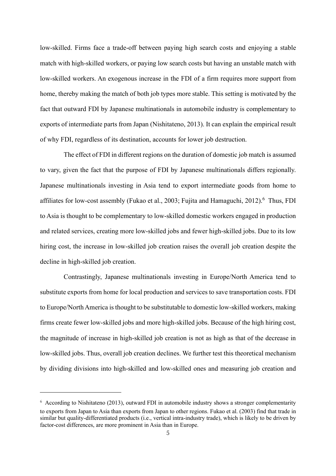low-skilled. Firms face a trade-off between paying high search costs and enjoying a stable match with high-skilled workers, or paying low search costs but having an unstable match with low-skilled workers. An exogenous increase in the FDI of a firm requires more support from home, thereby making the match of both job types more stable. This setting is motivated by the fact that outward FDI by Japanese multinationals in automobile industry is complementary to exports of intermediate parts from Japan (Nishitateno, 2013). It can explain the empirical result of why FDI, regardless of its destination, accounts for lower job destruction.

The effect of FDI in different regions on the duration of domestic job match is assumed to vary, given the fact that the purpose of FDI by Japanese multinationals differs regionally. Japanese multinationals investing in Asia tend to export intermediate goods from home to affiliates for low-cost assembly (Fukao et al., 2003; Fujita and Hamaguchi, 2012).<sup>6</sup> Thus, FDI to Asia is thought to be complementary to low-skilled domestic workers engaged in production and related services, creating more low-skilled jobs and fewer high-skilled jobs. Due to its low hiring cost, the increase in low-skilled job creation raises the overall job creation despite the decline in high-skilled job creation.

Contrastingly, Japanese multinationals investing in Europe/North America tend to substitute exports from home for local production and services to save transportation costs. FDI to Europe/North America is thought to be substitutable to domestic low-skilled workers, making firms create fewer low-skilled jobs and more high-skilled jobs. Because of the high hiring cost, the magnitude of increase in high-skilled job creation is not as high as that of the decrease in low-skilled jobs. Thus, overall job creation declines. We further test this theoretical mechanism by dividing divisions into high-skilled and low-skilled ones and measuring job creation and

 $6$  According to Nishitateno (2013), outward FDI in automobile industry shows a stronger complementarity to exports from Japan to Asia than exports from Japan to other regions. Fukao et al. (2003) find that trade in similar but quality-differentiated products (i.e., vertical intra-industry trade), which is likely to be driven by factor-cost differences, are more prominent in Asia than in Europe.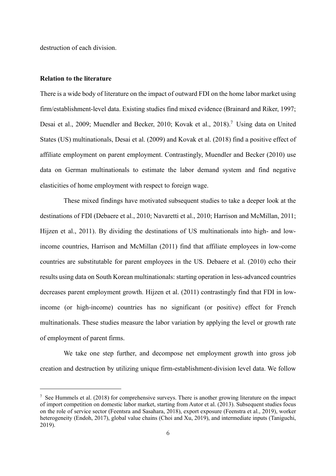destruction of each division.

#### **Relation to the literature**

There is a wide body of literature on the impact of outward FDI on the home labor market using firm/establishment-level data. Existing studies find mixed evidence (Brainard and Riker, 1997; Desai et al., 2009; Muendler and Becker, 2010; Kovak et al., 2018).<sup>7</sup> Using data on United States (US) multinationals, Desai et al. (2009) and Kovak et al. (2018) find a positive effect of affiliate employment on parent employment. Contrastingly, Muendler and Becker (2010) use data on German multinationals to estimate the labor demand system and find negative elasticities of home employment with respect to foreign wage.

These mixed findings have motivated subsequent studies to take a deeper look at the destinations of FDI (Debaere et al., 2010; Navaretti et al., 2010; Harrison and McMillan, 2011; Hijzen et al., 2011). By dividing the destinations of US multinationals into high- and lowincome countries, Harrison and McMillan (2011) find that affiliate employees in low-come countries are substitutable for parent employees in the US. Debaere et al. (2010) echo their results using data on South Korean multinationals: starting operation in less-advanced countries decreases parent employment growth. Hijzen et al. (2011) contrastingly find that FDI in lowincome (or high-income) countries has no significant (or positive) effect for French multinationals. These studies measure the labor variation by applying the level or growth rate of employment of parent firms.

We take one step further, and decompose net employment growth into gross job creation and destruction by utilizing unique firm-establishment-division level data. We follow

<sup>&</sup>lt;sup>7</sup> See Hummels et al. (2018) for comprehensive surveys. There is another growing literature on the impact of import competition on domestic labor market, starting from Autor et al. (2013). Subsequent studies focus on the role of service sector (Feentsra and Sasahara, 2018), export exposure (Feenstra et al., 2019), worker heterogeneity (Endoh, 2017), global value chains (Choi and Xu, 2019), and intermediate inputs (Taniguchi, 2019).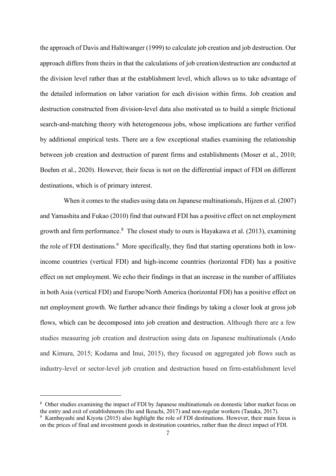the approach of Davis and Haltiwanger (1999) to calculate job creation and job destruction. Our approach differs from theirs in that the calculations of job creation/destruction are conducted at the division level rather than at the establishment level, which allows us to take advantage of the detailed information on labor variation for each division within firms. Job creation and destruction constructed from division-level data also motivated us to build a simple frictional search-and-matching theory with heterogeneous jobs, whose implications are further verified by additional empirical tests. There are a few exceptional studies examining the relationship between job creation and destruction of parent firms and establishments (Moser et al., 2010; Boehm et al., 2020). However, their focus is not on the differential impact of FDI on different destinations, which is of primary interest.

When it comes to the studies using data on Japanese multinationals, Hijzen et al. (2007) and Yamashita and Fukao (2010) find that outward FDI has a positive effect on net employment growth and firm performance.<sup>8</sup> The closest study to ours is Hayakawa et al. (2013), examining the role of FDI destinations.<sup>9</sup> More specifically, they find that starting operations both in lowincome countries (vertical FDI) and high-income countries (horizontal FDI) has a positive effect on net employment. We echo their findings in that an increase in the number of affiliates in both Asia (vertical FDI) and Europe/North America (horizontal FDI) has a positive effect on net employment growth. We further advance their findings by taking a closer look at gross job flows, which can be decomposed into job creation and destruction. Although there are a few studies measuring job creation and destruction using data on Japanese multinationals (Ando and Kimura, 2015; Kodama and Inui, 2015), they focused on aggregated job flows such as industry-level or sector-level job creation and destruction based on firm-establishment level

<sup>&</sup>lt;sup>8</sup> Other studies examining the impact of FDI by Japanese multinationals on domestic labor market focus on the entry and exit of establishments (Ito and Ikeuchi, 2017) and non-regular workers (Tanaka, 2017).

<sup>&</sup>lt;sup>9</sup> Kambayashi and Kiyota (2015) also highlight the role of FDI destinations. However, their main focus is on the prices of final and investment goods in destination countries, rather than the direct impact of FDI.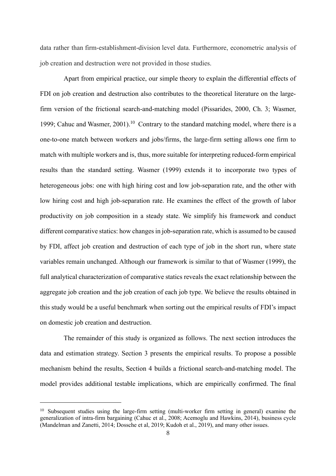data rather than firm-establishment-division level data. Furthermore, econometric analysis of job creation and destruction were not provided in those studies.

Apart from empirical practice, our simple theory to explain the differential effects of FDI on job creation and destruction also contributes to the theoretical literature on the largefirm version of the frictional search-and-matching model (Pissarides, 2000, Ch. 3; Wasmer, 1999; Cahuc and Wasmer,  $2001$ <sup>10</sup> Contrary to the standard matching model, where there is a one-to-one match between workers and jobs/firms, the large-firm setting allows one firm to match with multiple workers and is, thus, more suitable for interpreting reduced-form empirical results than the standard setting. Wasmer (1999) extends it to incorporate two types of heterogeneous jobs: one with high hiring cost and low job-separation rate, and the other with low hiring cost and high job-separation rate. He examines the effect of the growth of labor productivity on job composition in a steady state. We simplify his framework and conduct different comparative statics: how changes in job-separation rate, which is assumed to be caused by FDI, affect job creation and destruction of each type of job in the short run, where state variables remain unchanged. Although our framework is similar to that of Wasmer (1999), the full analytical characterization of comparative statics reveals the exact relationship between the aggregate job creation and the job creation of each job type. We believe the results obtained in this study would be a useful benchmark when sorting out the empirical results of FDI's impact on domestic job creation and destruction.

The remainder of this study is organized as follows. The next section introduces the data and estimation strategy. Section 3 presents the empirical results. To propose a possible mechanism behind the results, Section 4 builds a frictional search-and-matching model. The model provides additional testable implications, which are empirically confirmed. The final

<sup>&</sup>lt;sup>10</sup> Subsequent studies using the large-firm setting (multi-worker firm setting in general) examine the generalization of intra-firm bargaining (Cahuc et al., 2008; Acemoglu and Hawkins, 2014), business cycle (Mandelman and Zanetti, 2014; Dossche et al, 2019; Kudoh et al., 2019), and many other issues.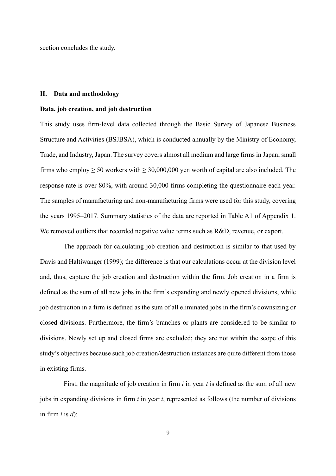section concludes the study.

#### **II. Data and methodology**

#### **Data, job creation, and job destruction**

This study uses firm-level data collected through the Basic Survey of Japanese Business Structure and Activities (BSJBSA), which is conducted annually by the Ministry of Economy, Trade, and Industry, Japan. The survey covers almost all medium and large firms in Japan; small firms who employ  $\geq 50$  workers with  $\geq 30,000,000$  yen worth of capital are also included. The response rate is over 80%, with around 30,000 firms completing the questionnaire each year. The samples of manufacturing and non-manufacturing firms were used for this study, covering the years 1995–2017. Summary statistics of the data are reported in Table A1 of Appendix 1. We removed outliers that recorded negative value terms such as R&D, revenue, or export.

The approach for calculating job creation and destruction is similar to that used by Davis and Haltiwanger (1999); the difference is that our calculations occur at the division level and, thus, capture the job creation and destruction within the firm. Job creation in a firm is defined as the sum of all new jobs in the firm's expanding and newly opened divisions, while job destruction in a firm is defined as the sum of all eliminated jobs in the firm's downsizing or closed divisions. Furthermore, the firm's branches or plants are considered to be similar to divisions. Newly set up and closed firms are excluded; they are not within the scope of this study's objectives because such job creation/destruction instances are quite different from those in existing firms.

First, the magnitude of job creation in firm *i* in year *t* is defined as the sum of all new jobs in expanding divisions in firm *i* in year *t*, represented as follows (the number of divisions in firm  $i$  is  $d$ :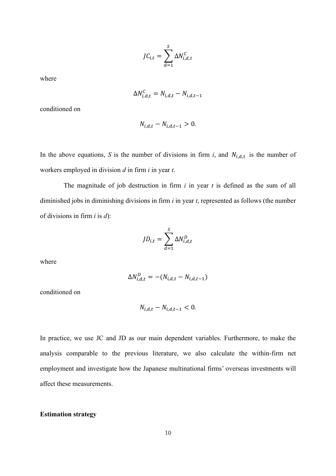$$
JC_{i,t} = \sum_{d=1}^{S} \Delta N_{i,d,t}^{C}
$$

where

$$
\Delta N_{i,d,t}^C = N_{i,d,t} - N_{i,d,t-1}
$$

conditioned on

$$
N_{i,d,t}-N_{i,d,t-1}>0.
$$

In the above equations, *S* is the number of divisions in firm *i*, and  $N_{i,d,t}$  is the number of workers employed in division *d* in firm *i* in year *t*.

The magnitude of job destruction in firm *i* in year *t* is defined as the sum of all diminished jobs in diminishing divisions in firm *i* in year *t*, represented as follows (the number of divisions in firm *i* is *d*):

$$
JD_{i,t} = \sum_{d=1}^{S} \Delta N_{i,d,t}^D
$$

where

$$
\Delta N_{i,d,t}^D = -(N_{i,d,t} - N_{i,d,t-1})
$$

conditioned on

$$
N_{i,d,t} - N_{i,d,t-1} < 0.
$$

In practice, we use JC and JD as our main dependent variables. Furthermore, to make the analysis comparable to the previous literature, we also calculate the within-firm net employment and investigate how the Japanese multinational firms' overseas investments will affect these measurements.

#### **Estimation strategy**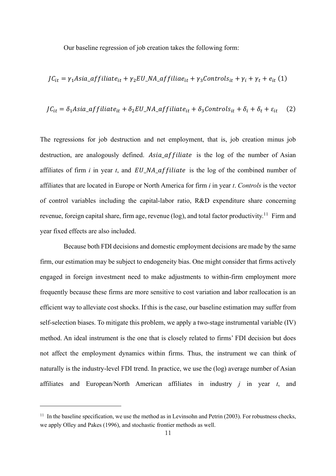Our baseline regression of job creation takes the following form:

$$
JC_{it} = \gamma_1 Asia_{affillate_{it}} + \gamma_2 EU_{A_aaffillae_{it}} + \gamma_3 Controls_{it} + \gamma_t + \rho_{it} (1)
$$

$$
JC_{it} = \delta_1 Asia\_affiliate_{it} + \delta_2 EU\_NA\_affiliate_{it} + \delta_3 Contents_{it} + \delta_i + \delta_t + \varepsilon_{it}
$$
 (2)

The regressions for job destruction and net employment, that is, job creation minus job destruction, are analogously defined. Asia affiliate is the log of the number of Asian affiliates of firm  $i$  in year  $t$ , and  $EU$  NA affiliate is the log of the combined number of affiliates that are located in Europe or North America for firm *i* in year *t*. *Controls* is the vector of control variables including the capital-labor ratio, R&D expenditure share concerning revenue, foreign capital share, firm age, revenue (log), and total factor productivity.<sup>11</sup> Firm and year fixed effects are also included.

Because both FDI decisions and domestic employment decisions are made by the same firm, our estimation may be subject to endogeneity bias. One might consider that firms actively engaged in foreign investment need to make adjustments to within-firm employment more frequently because these firms are more sensitive to cost variation and labor reallocation is an efficient way to alleviate cost shocks. If this is the case, our baseline estimation may suffer from self-selection biases. To mitigate this problem, we apply a two-stage instrumental variable (IV) method. An ideal instrument is the one that is closely related to firms' FDI decision but does not affect the employment dynamics within firms. Thus, the instrument we can think of naturally is the industry-level FDI trend. In practice, we use the (log) average number of Asian affiliates and European/North American affiliates in industry *j* in year *t*, and

<sup>&</sup>lt;sup>11</sup> In the baseline specification, we use the method as in Levinsohn and Petrin (2003). For robustness checks, we apply Olley and Pakes (1996), and stochastic frontier methods as well.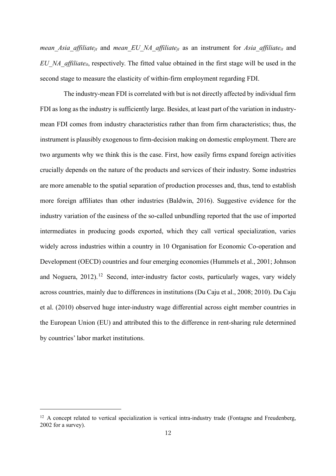*mean\_Asia\_affiliatejt* and *mean\_EU\_NA\_affiliatejt* as an instrument for *Asia\_affiliateit* and *EU\_NA\_affiliateit*, respectively. The fitted value obtained in the first stage will be used in the second stage to measure the elasticity of within-firm employment regarding FDI.

The industry-mean FDI is correlated with but is not directly affected by individual firm FDI as long as the industry is sufficiently large. Besides, at least part of the variation in industrymean FDI comes from industry characteristics rather than from firm characteristics; thus, the instrument is plausibly exogenous to firm-decision making on domestic employment. There are two arguments why we think this is the case. First, how easily firms expand foreign activities crucially depends on the nature of the products and services of their industry. Some industries are more amenable to the spatial separation of production processes and, thus, tend to establish more foreign affiliates than other industries (Baldwin, 2016). Suggestive evidence for the industry variation of the easiness of the so-called unbundling reported that the use of imported intermediates in producing goods exported, which they call vertical specialization, varies widely across industries within a country in 10 Organisation for Economic Co-operation and Development (OECD) countries and four emerging economies (Hummels et al., 2001; Johnson and Noguera, 2012).<sup>12</sup> Second, inter-industry factor costs, particularly wages, vary widely across countries, mainly due to differences in institutions (Du Caju et al., 2008; 2010). Du Caju et al. (2010) observed huge inter-industry wage differential across eight member countries in the European Union (EU) and attributed this to the difference in rent-sharing rule determined by countries' labor market institutions.

<sup>&</sup>lt;sup>12</sup> A concept related to vertical specialization is vertical intra-industry trade (Fontagne and Freudenberg, 2002 for a survey).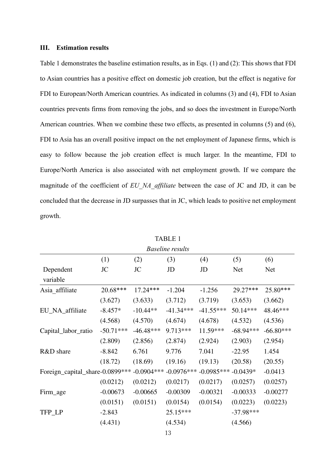#### **III. Estimation results**

Table 1 demonstrates the baseline estimation results, as in Eqs. (1) and (2): This shows that FDI to Asian countries has a positive effect on domestic job creation, but the effect is negative for FDI to European/North American countries. As indicated in columns (3) and (4), FDI to Asian countries prevents firms from removing the jobs, and so does the investment in Europe/North American countries. When we combine these two effects, as presented in columns (5) and (6), FDI to Asia has an overall positive impact on the net employment of Japanese firms, which is easy to follow because the job creation effect is much larger. In the meantime, FDI to Europe/North America is also associated with net employment growth. If we compare the magnitude of the coefficient of *EU\_NA\_affiliate* between the case of JC and JD, it can be concluded that the decrease in JD surpasses that in JC, which leads to positive net employment growth.

| <b>Baseline results</b>         |             |              |              |              |             |             |  |  |  |
|---------------------------------|-------------|--------------|--------------|--------------|-------------|-------------|--|--|--|
|                                 | (1)         | (2)          | (3)          | (4)          | (5)         | (6)         |  |  |  |
| Dependent                       | JC          | JC           | JD           | JD           | Net         | Net         |  |  |  |
| variable                        |             |              |              |              |             |             |  |  |  |
| Asia_affiliate                  | 20.68***    | $17.24***$   | $-1.204$     | $-1.256$     | 29.27***    | 25.80***    |  |  |  |
|                                 | (3.627)     | (3.633)      | (3.712)      | (3.719)      | (3.653)     | (3.662)     |  |  |  |
| EU_NA_affiliate                 | $-8.457*$   | $-10.44**$   | $-41.34***$  | $-41.55***$  | 50.14***    | 48.46***    |  |  |  |
|                                 | (4.568)     | (4.570)      | (4.674)      | (4.678)      | (4.532)     | (4.536)     |  |  |  |
| Capital_labor_ratio             | $-50.71***$ | $-46.48***$  | 9.713***     | 11.59***     | $-68.94***$ | $-66.80***$ |  |  |  |
|                                 | (2.809)     | (2.856)      | (2.874)      | (2.924)      | (2.903)     | (2.954)     |  |  |  |
| R&D share                       | $-8.842$    | 6.761        | 9.776        | 7.041        | $-22.95$    | 1.454       |  |  |  |
|                                 | (18.72)     | (18.69)      | (19.16)      | (19.13)      | (20.58)     | (20.55)     |  |  |  |
| Foreign_capital_share-0.0899*** |             | $-0.0904***$ | $-0.0976***$ | $-0.0985***$ | $-0.0439*$  | $-0.0413$   |  |  |  |
|                                 | (0.0212)    | (0.0212)     | (0.0217)     | (0.0217)     | (0.0257)    | (0.0257)    |  |  |  |
| Firm_age                        | $-0.00673$  | $-0.00665$   | $-0.00309$   | $-0.00321$   | $-0.00333$  | $-0.00277$  |  |  |  |
|                                 | (0.0151)    | (0.0151)     | (0.0154)     | (0.0154)     | (0.0223)    | (0.0223)    |  |  |  |
| TFP_LP                          | $-2.843$    |              | $25.15***$   |              | $-37.98***$ |             |  |  |  |
|                                 | (4.431)     |              | (4.534)      |              | (4.566)     |             |  |  |  |
|                                 |             |              |              |              |             |             |  |  |  |

TABLE 1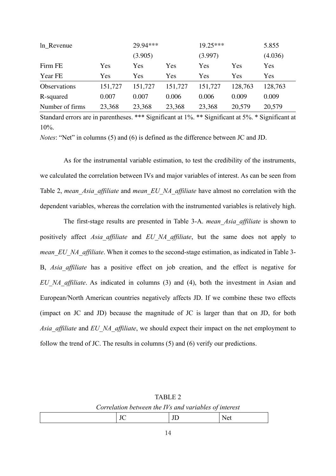| In Revenue          |         | 29.94*** |         | $19.25***$ |         |         |  |
|---------------------|---------|----------|---------|------------|---------|---------|--|
|                     |         | (3.905)  |         | (3.997)    |         | (4.036) |  |
| Firm FE             | Yes     | Yes      | Yes     | Yes        | Yes     | Yes     |  |
| Year FE             | Yes     | Yes      | Yes     | Yes        | Yes     | Yes     |  |
| <b>Observations</b> | 151,727 | 151,727  | 151,727 | 151,727    | 128,763 | 128,763 |  |
| R-squared           | 0.007   | 0.007    | 0.006   | 0.006      | 0.009   | 0.009   |  |
| Number of firms     | 23,368  | 23,368   | 23,368  | 23,368     | 20,579  | 20,579  |  |

*Notes*: "Net" in columns (5) and (6) is defined as the difference between JC and JD.

As for the instrumental variable estimation, to test the credibility of the instruments, we calculated the correlation between IVs and major variables of interest. As can be seen from Table 2, *mean\_Asia\_affiliate* and *mean\_EU\_NA\_affiliate* have almost no correlation with the dependent variables, whereas the correlation with the instrumented variables is relatively high.

The first-stage results are presented in Table 3-A. *mean\_Asia\_affiliate* is shown to positively affect *Asia\_affiliate* and *EU\_NA\_affiliate*, but the same does not apply to *mean EU NA affiliate*. When it comes to the second-stage estimation, as indicated in Table 3-B, *Asia\_affiliate* has a positive effect on job creation, and the effect is negative for *EU\_NA\_affiliate*. As indicated in columns (3) and (4), both the investment in Asian and European/North American countries negatively affects JD. If we combine these two effects (impact on JC and JD) because the magnitude of JC is larger than that on JD, for both *Asia\_affiliate* and *EU\_NA\_affiliate*, we should expect their impact on the net employment to follow the trend of JC. The results in columns (5) and (6) verify our predictions.

| TABLE 2                                               |  |
|-------------------------------------------------------|--|
| Correlation between the IVs and variables of interest |  |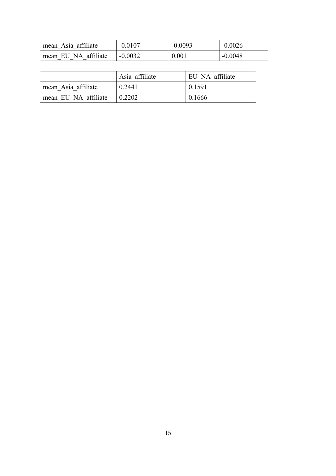| mean Asia affiliate  | $-0.0107$ | $-0.0093$ | $-0.0026$ |
|----------------------|-----------|-----------|-----------|
| mean EU NA affiliate | $-0.0032$ | 0.001     | $-0.0048$ |

|                      | Asia affiliate | EU NA affiliate |
|----------------------|----------------|-----------------|
| mean Asia affiliate  | 0.2441         | 0.1591          |
| mean EU NA affiliate | 0.2202         | 0.1666          |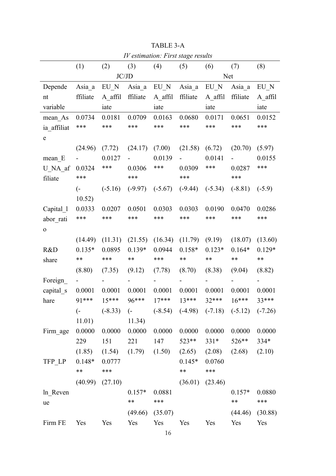| IV estimation: First stage results |                  |                     |                  |           |            |           |                                                   |          |
|------------------------------------|------------------|---------------------|------------------|-----------|------------|-----------|---------------------------------------------------|----------|
|                                    | (1)              | (2)                 | (3)              | (4)       | (5)        | (6)       | (7)                                               | (8)      |
|                                    |                  |                     | JC/JD            |           |            |           | Net                                               |          |
| Depende                            | Asia a           | $EU_N$              | Asia a           | EU N      | Asia a     | EU N      | Asia a                                            | EU N     |
| nt                                 | ffiliate         | A affil             | ffiliate         | A affil   | ffiliate   | A affil   | ffiliate                                          | A affil  |
| variable                           |                  | iate                |                  | iate      |            | iate      |                                                   | iate     |
| mean As                            | 0.0734           | 0.0181              | 0.0709           | 0.0163    | 0.0680     | 0.0171    | 0.0651                                            | 0.0152   |
| ia affiliat                        | ***              | ***                 | ***              | ***       | ***        | ***       | ***                                               | ***      |
| ${\bf e}$                          |                  |                     |                  |           |            |           |                                                   |          |
|                                    | (24.96)          | (7.72)              | (24.17)          | (7.00)    | (21.58)    | (6.72)    | (20.70)                                           | (5.97)   |
| $mean$ E                           |                  | 0.0127              |                  | 0.0139    |            | 0.0141    |                                                   | 0.0155   |
| U NA af                            | 0.0324           | ***                 | 0.0306           | ***       | 0.0309     | ***       | 0.0287                                            | ***      |
| filiate                            | ***              |                     | ***              |           | ***        |           | ***                                               |          |
|                                    | $\overline{(-)}$ | $(-5.16)$           | $(-9.97)$        | $(-5.67)$ | $(-9.44)$  | $(-5.34)$ | $(-8.81)$                                         | $(-5.9)$ |
|                                    | 10.52)           |                     |                  |           |            |           |                                                   |          |
| Capital 1                          | 0.0333           | 0.0207              | 0.0501           | 0.0303    | 0.0303     | 0.0190    | 0.0470                                            | 0.0286   |
| abor rati                          | ***              | ***                 | ***              | ***       | ***        | ***       | ***                                               | ***      |
| O                                  |                  |                     |                  |           |            |           |                                                   |          |
|                                    | (14.49)          | (11.31)             | (21.55)          | (16.34)   | (11.79)    | (9.19)    | (18.07)                                           | (13.60)  |
| R&D                                | $0.135*$         | 0.0895              | $0.139*$         | 0.0944    | $0.158*$   | $0.123*$  | $0.164*$                                          | $0.129*$ |
| share                              | **               | ***                 | **               | ***       | **         | **        | **                                                | **       |
|                                    | (8.80)           | (7.35)              | (9.12)           | (7.78)    | (8.70)     | (8.38)    | (9.04)                                            | (8.82)   |
| Foreign                            |                  |                     |                  |           |            |           |                                                   |          |
| capital s                          | 0.0001           | 0.0001              | 0.0001           | 0.0001    | 0.0001     | 0.0001    | 0.0001                                            | 0.0001   |
| hare                               | 91***            | $15***$             | 96***            | $17***$   | $13***$    | $32***$   | $16***$                                           | $33***$  |
|                                    | $\overline{(-)}$ | $(-8.33)$           | $\overline{(-)}$ |           |            |           | $(-8.54)$ $(-4.98)$ $(-7.18)$ $(-5.12)$ $(-7.26)$ |          |
|                                    | 11.01)           |                     | 11.34)           |           |            |           |                                                   |          |
| Firm age                           | 0.0000           | 0.0000              | 0.0000           | 0.0000    | 0.0000     | 0.0000    | 0.0000                                            | 0.0000   |
|                                    | 229              | 151                 | 221              | 147       | 523**      | $331*$    | 526**                                             | $334*$   |
|                                    | (1.85)           | (1.54)              | (1.79)           | (1.50)    | (2.65)     | (2.08)    | (2.68)                                            | (2.10)   |
| TFP LP                             | $0.148*$         | 0.0777              |                  |           | $0.145*$   | 0.0760    |                                                   |          |
|                                    | $***$            | ***                 |                  |           | $\ast\ast$ | ***       |                                                   |          |
|                                    |                  | $(40.99)$ $(27.10)$ |                  |           | (36.01)    | (23.46)   |                                                   |          |
| ln Reven                           |                  |                     | $0.157*$         | 0.0881    |            |           | $0.157*$                                          | 0.0880   |
| ue                                 |                  |                     | $***$            | ***       |            |           | $**$                                              | ***      |
|                                    |                  |                     | (49.66)          | (35.07)   |            |           | (44.46)                                           | (30.88)  |
| Firm FE                            | Yes              | Yes                 | Yes              | Yes       | Yes        | Yes       | Yes                                               | Yes      |

TABLE 3-A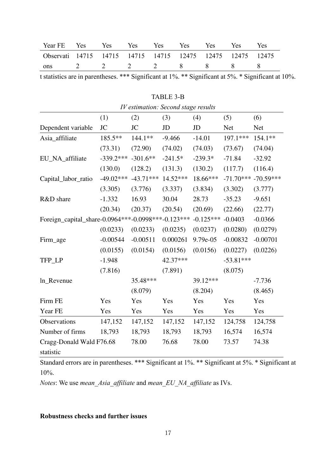| Year FE Yes Yes Yes                                       |  | Yes | Yes | Yes         | <b>Yes</b> | Yes |
|-----------------------------------------------------------|--|-----|-----|-------------|------------|-----|
| Observati 14715 14715 14715 14715 12475 12475 12475 12475 |  |     |     |             |            |     |
| ons                                                       |  |     |     | 2 2 2 2 8 8 |            |     |

t statistics are in parentheses. \*\*\* Significant at 1%. \*\* Significant at 5%. \* Significant at 10%.

| <i>IV</i> estimation: Second stage results              |             |             |           |             |             |             |
|---------------------------------------------------------|-------------|-------------|-----------|-------------|-------------|-------------|
|                                                         | (1)         | (2)         | (3)       | (4)         | (5)         | (6)         |
| Dependent variable                                      | <b>JC</b>   | JC          | JD        | JD          | <b>Net</b>  | <b>Net</b>  |
| Asia_affiliate                                          | 185.5**     | 144.1**     | $-9.466$  | $-14.01$    | 197.1***    | 154.1**     |
|                                                         | (73.31)     | (72.90)     | (74.02)   | (74.03)     | (73.67)     | (74.04)     |
| EU_NA_affiliate                                         | $-339.2***$ | $-301.6**$  | $-241.5*$ | $-239.3*$   | $-71.84$    | $-32.92$    |
|                                                         | (130.0)     | (128.2)     | (131.3)   | (130.2)     | (117.7)     | (116.4)     |
| Capital_labor_ratio                                     | $-49.02***$ | $-43.71***$ | 14.52***  | 18.66***    | $-71.70***$ | $-70.59***$ |
|                                                         | (3.305)     | (3.776)     | (3.337)   | (3.834)     | (3.302)     | (3.777)     |
| R&D share                                               | $-1.332$    | 16.93       | 30.04     | 28.73       | $-35.23$    | $-9.651$    |
|                                                         | (20.34)     | (20.37)     | (20.54)   | (20.69)     | (22.66)     | (22.77)     |
| Foreign_capital_share-0.0964 *** -0.0998 *** -0.123 *** |             |             |           | $-0.125***$ | $-0.0403$   | $-0.0366$   |
|                                                         | (0.0233)    | (0.0233)    | (0.0235)  | (0.0237)    | (0.0280)    | (0.0279)    |
| Firm_age                                                | $-0.00544$  | $-0.00511$  | 0.000261  | 9.79e-05    | $-0.00832$  | $-0.00701$  |
|                                                         | (0.0155)    | (0.0154)    | (0.0156)  | (0.0156)    | (0.0227)    | (0.0226)    |
| TFP_LP                                                  | $-1.948$    |             | 42.37***  |             | $-53.81***$ |             |
|                                                         | (7.816)     |             | (7.891)   |             | (8.075)     |             |
| ln_Revenue                                              |             | 35.48***    |           | 39.12***    |             | $-7.736$    |
|                                                         |             | (8.079)     |           | (8.204)     |             | (8.465)     |
| Firm FE                                                 | Yes         | Yes         | Yes       | Yes         | Yes         | Yes         |
| Year FE                                                 | Yes         | Yes         | Yes       | Yes         | Yes         | Yes         |
| Observations                                            | 147,152     | 147,152     | 147,152   | 147,152     | 124,758     | 124,758     |
| Number of firms                                         | 18,793      | 18,793      | 18,793    | 18,793      | 16,574      | 16,574      |
| Cragg-Donald Wald F76.68                                |             | 78.00       | 76.68     | 78.00       | 73.57       | 74.38       |
| statistic                                               |             |             |           |             |             |             |

TABLE 3-B

Standard errors are in parentheses. \*\*\* Significant at 1%. \*\* Significant at 5%. \* Significant at 10%.

*Notes*: We use *mean\_Asia\_affiliate* and *mean\_EU\_NA\_affiliate* as IVs.

#### **Robustness checks and further issues**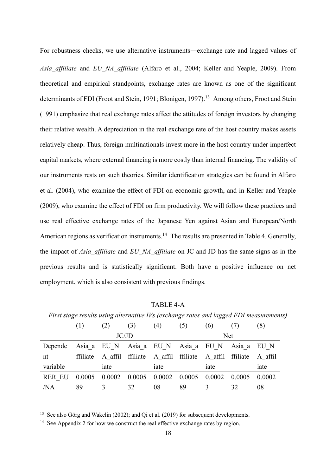For robustness checks, we use alternative instruments―exchange rate and lagged values of *Asia\_affiliate* and *EU\_NA\_affiliate* (Alfaro et al., 2004; Keller and Yeaple, 2009). From theoretical and empirical standpoints, exchange rates are known as one of the significant determinants of FDI (Froot and Stein, 1991; Blonigen, 1997).<sup>13</sup> Among others, Froot and Stein (1991) emphasize that real exchange rates affect the attitudes of foreign investors by changing their relative wealth. A depreciation in the real exchange rate of the host country makes assets relatively cheap. Thus, foreign multinationals invest more in the host country under imperfect capital markets, where external financing is more costly than internal financing. The validity of our instruments rests on such theories. Similar identification strategies can be found in Alfaro et al. (2004), who examine the effect of FDI on economic growth, and in Keller and Yeaple (2009), who examine the effect of FDI on firm productivity. We will follow these practices and use real effective exchange rates of the Japanese Yen against Asian and European/North American regions as verification instruments.<sup>14</sup> The results are presented in Table 4. Generally, the impact of *Asia\_affiliate* and *EU\_NA\_affiliate* on JC and JD has the same signs as in the previous results and is statistically significant. Both have a positive influence on net employment, which is also consistent with previous findings.

|               |          |                                     |        |                  |        |         |          | T usi suge results using uncritative IVs (exeminge rules unu higgen I DI meusurement. |
|---------------|----------|-------------------------------------|--------|------------------|--------|---------|----------|---------------------------------------------------------------------------------------|
|               | (1)      | (2)                                 | (3)    | (4)              | (5)    | (6)     | (7)      | (8)                                                                                   |
|               |          |                                     | JC/JD  |                  |        |         | Net.     |                                                                                       |
| Depende       |          | Asia a EU N Asia a EU N Asia a EU N |        |                  |        |         | Asia a   | EU N                                                                                  |
| nt            | ffiliate | A affil ffiliate                    |        | A affil ffiliate |        | A affil | ffiliate | A affil                                                                               |
| variable      |          | iate                                |        | iate             |        | iate    |          | iate                                                                                  |
| <b>RER EU</b> | 0.0005   | 0.0002                              | 0.0005 | 0.0002           | 0.0005 | 0.0002  | 0.0005   | 0.0002                                                                                |
| /NA           | 89       | 3                                   | 32     | 08               | 89     | 3       | 32       | 08                                                                                    |

TABLE 4-A *First stage results using alternative IVs (exchange rates and lagged FDI measurements)*

<sup>&</sup>lt;sup>13</sup> See also Görg and Wakelin (2002); and Qi et al. (2019) for subsequent developments.

<sup>&</sup>lt;sup>14</sup> See Appendix 2 for how we construct the real effective exchange rates by region.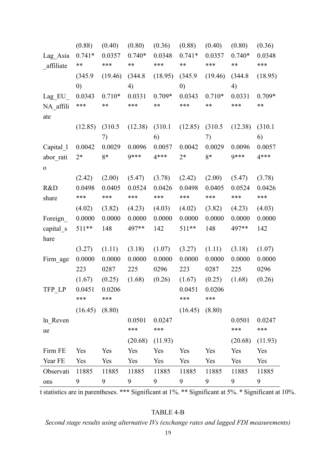|             | (0.88)            | (0.40)   | (0.80)   | (0.36)   | (0.88)            | (0.40)   | (0.80)   | (0.36)   |
|-------------|-------------------|----------|----------|----------|-------------------|----------|----------|----------|
| Lag_Asia    | $0.741*$          | 0.0357   | $0.740*$ | 0.0348   | $0.741*$          | 0.0357   | $0.740*$ | 0.0348   |
| affiliate   | **                | ***      | **       | ***      | **                | ***      | **       | ***      |
|             | (345.9)           | (19.46)  | (344.8)  | (18.95)  | (345.9)           | (19.46)  | (344.8)  | (18.95)  |
|             | $\left( 0\right)$ |          | 4)       |          | $\left( 0\right)$ |          | 4)       |          |
| Lag EU      | 0.0343            | $0.710*$ | 0.0331   | $0.709*$ | 0.0343            | $0.710*$ | 0.0331   | $0.709*$ |
| NA affili   | ***               | **       | ***      | **       | ***               | **       | ***      | **       |
| ate         |                   |          |          |          |                   |          |          |          |
|             | (12.85)           | (310.5)  | (12.38)  | (310.1)  | (12.85)           | (310.5)  | (12.38)  | (310.1)  |
|             |                   | 7)       |          | 6)       |                   | 7)       |          | 6)       |
| Capital_1   | 0.0042            | 0.0029   | 0.0096   | 0.0057   | 0.0042            | 0.0029   | 0.0096   | 0.0057   |
| abor rati   | $2*$              | 8*       | 9***     | $4***$   | $2*$              | 8*       | 9***     | $4***$   |
| $\mathbf 0$ |                   |          |          |          |                   |          |          |          |
|             | (2.42)            | (2.00)   | (5.47)   | (3.78)   | (2.42)            | (2.00)   | (5.47)   | (3.78)   |
| R&D         | 0.0498            | 0.0405   | 0.0524   | 0.0426   | 0.0498            | 0.0405   | 0.0524   | 0.0426   |
| share       | ***               | ***      | ***      | ***      | ***               | ***      | ***      | ***      |
|             | (4.02)            | (3.82)   | (4.23)   | (4.03)   | (4.02)            | (3.82)   | (4.23)   | (4.03)   |
| Foreign     | 0.0000            | 0.0000   | 0.0000   | 0.0000   | 0.0000            | 0.0000   | 0.0000   | 0.0000   |
| capital s   | 511**             | 148      | 497**    | 142      | $511**$           | 148      | 497**    | 142      |
| hare        |                   |          |          |          |                   |          |          |          |
|             | (3.27)            | (1.11)   | (3.18)   | (1.07)   | (3.27)            | (1.11)   | (3.18)   | (1.07)   |
| Firm_age    | 0.0000            | 0.0000   | 0.0000   | 0.0000   | 0.0000            | 0.0000   | 0.0000   | 0.0000   |
|             | 223               | 0287     | 225      | 0296     | 223               | 0287     | 225      | 0296     |
|             | (1.67)            | (0.25)   | (1.68)   | (0.26)   | (1.67)            | (0.25)   | (1.68)   | (0.26)   |
| TFP LP      | 0.0451            | 0.0206   |          |          | 0.0451            | 0.0206   |          |          |
|             | ***               | ***      |          |          | ***               | ***      |          |          |
|             | (16.45)           | (8.80)   |          |          | (16.45)           | (8.80)   |          |          |
| ln Reven    |                   |          | 0.0501   | 0.0247   |                   |          | 0.0501   | 0.0247   |
| ue          |                   |          | ***      | ***      |                   |          | ***      | ***      |
|             |                   |          | (20.68)  | (11.93)  |                   |          | (20.68)  | (11.93)  |
| Firm FE     | Yes               | Yes      | Yes      | Yes      | Yes               | Yes      | Yes      | Yes      |
| Year FE     | Yes               | Yes      | Yes      | Yes      | Yes               | Yes      | Yes      | Yes      |
| Observati   | 11885             | 11885    | 11885    | 11885    | 11885             | 11885    | 11885    | 11885    |
| ons         | 9                 | 9        | 9        | 9        | 9                 | 9        | 9        | 9        |

t statistics are in parentheses. \*\*\* Significant at 1%. \*\* Significant at 5%. \* Significant at 10%.

# TABLE 4-B

*Second stage results using alternative IVs (exchange rates and lagged FDI measurements)*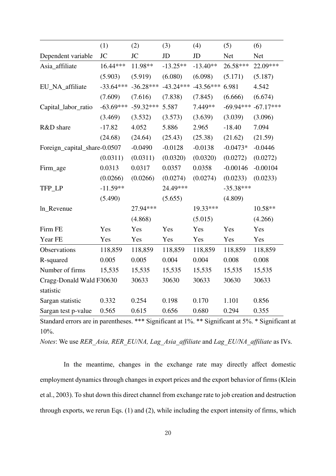|                              | (1)         | (2)         | (3)         | (4)         | (5)         | (6)         |
|------------------------------|-------------|-------------|-------------|-------------|-------------|-------------|
| Dependent variable           | <b>JC</b>   | <b>JC</b>   | JD          | JD          | <b>Net</b>  | <b>Net</b>  |
| Asia_affiliate               | 16.44***    | 11.98**     | $-13.25**$  | $-13.40**$  | 26.58***    | 22.09***    |
|                              | (5.903)     | (5.919)     | (6.080)     | (6.098)     | (5.171)     | (5.187)     |
| EU_NA_affiliate              | $-33.64***$ | $-36.28***$ | $-43.24***$ | $-43.56***$ | 6.981       | 4.542       |
|                              | (7.609)     | (7.616)     | (7.838)     | (7.845)     | (6.666)     | (6.674)     |
| Capital_labor_ratio          | $-63.69***$ | $-59.32***$ | 5.587       | 7.449**     | $-69.94***$ | $-67.17***$ |
|                              | (3.469)     | (3.532)     | (3.573)     | (3.639)     | (3.039)     | (3.096)     |
| R&D share                    | $-17.82$    | 4.052       | 5.886       | 2.965       | $-18.40$    | 7.094       |
|                              | (24.68)     | (24.64)     | (25.43)     | (25.38)     | (21.62)     | (21.59)     |
| Foreign_capital_share-0.0507 |             | $-0.0490$   | $-0.0128$   | $-0.0138$   | $-0.0473*$  | $-0.0446$   |
|                              | (0.0311)    | (0.0311)    | (0.0320)    | (0.0320)    | (0.0272)    | (0.0272)    |
| Firm_age                     | 0.0313      | 0.0317      | 0.0357      | 0.0358      | $-0.00146$  | $-0.00104$  |
|                              | (0.0266)    | (0.0266)    | (0.0274)    | (0.0274)    | (0.0233)    | (0.0233)    |
| TFP_LP                       | $-11.59**$  |             | 24.49***    |             | $-35.38***$ |             |
|                              | (5.490)     |             | (5.655)     |             | (4.809)     |             |
| ln_Revenue                   |             | 27.94***    |             | 19.33***    |             | 10.58**     |
|                              |             | (4.868)     |             | (5.015)     |             | (4.266)     |
| Firm FE                      | Yes         | Yes         | Yes         | Yes         | Yes         | Yes         |
| Year FE                      | Yes         | Yes         | Yes         | Yes         | Yes         | Yes         |
| Observations                 | 118,859     | 118,859     | 118,859     | 118,859     | 118,859     | 118,859     |
| R-squared                    | 0.005       | 0.005       | 0.004       | 0.004       | 0.008       | 0.008       |
| Number of firms              | 15,535      | 15,535      | 15,535      | 15,535      | 15,535      | 15,535      |
| Cragg-Donald Wald F30630     |             | 30633       | 30630       | 30633       | 30630       | 30633       |
| statistic                    |             |             |             |             |             |             |
| Sargan statistic             | 0.332       | 0.254       | 0.198       | 0.170       | 1.101       | 0.856       |
| Sargan test p-value          | 0.565       | 0.615       | 0.656       | 0.680       | 0.294       | 0.355       |

*Notes*: We use *RER\_Asia, RER\_EU/NA, Lag\_Asia\_affiliate* and *Lag\_EU/NA\_affiliate* as IVs.

In the meantime, changes in the exchange rate may directly affect domestic employment dynamics through changes in export prices and the export behavior of firms (Klein et al., 2003). To shut down this direct channel from exchange rate to job creation and destruction through exports, we rerun Eqs. (1) and (2), while including the export intensity of firms, which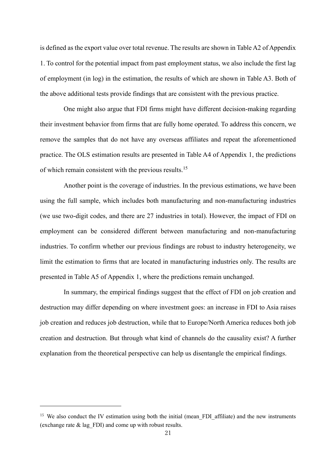is defined as the export value over total revenue. The results are shown in Table A2 of Appendix 1. To control for the potential impact from past employment status, we also include the first lag of employment (in log) in the estimation, the results of which are shown in Table A3. Both of the above additional tests provide findings that are consistent with the previous practice.

One might also argue that FDI firms might have different decision-making regarding their investment behavior from firms that are fully home operated. To address this concern, we remove the samples that do not have any overseas affiliates and repeat the aforementioned practice. The OLS estimation results are presented in Table A4 of Appendix 1, the predictions of which remain consistent with the previous results.<sup>15</sup>

Another point is the coverage of industries. In the previous estimations, we have been using the full sample, which includes both manufacturing and non-manufacturing industries (we use two-digit codes, and there are 27 industries in total). However, the impact of FDI on employment can be considered different between manufacturing and non-manufacturing industries. To confirm whether our previous findings are robust to industry heterogeneity, we limit the estimation to firms that are located in manufacturing industries only. The results are presented in Table A5 of Appendix 1, where the predictions remain unchanged.

In summary, the empirical findings suggest that the effect of FDI on job creation and destruction may differ depending on where investment goes: an increase in FDI to Asia raises job creation and reduces job destruction, while that to Europe/North America reduces both job creation and destruction. But through what kind of channels do the causality exist? A further explanation from the theoretical perspective can help us disentangle the empirical findings.

<sup>&</sup>lt;sup>15</sup> We also conduct the IV estimation using both the initial (mean FDI affiliate) and the new instruments (exchange rate & lag\_FDI) and come up with robust results.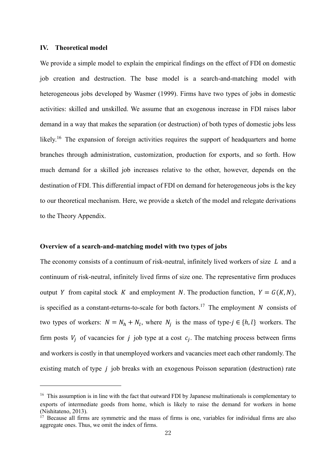#### **IV. Theoretical model**

We provide a simple model to explain the empirical findings on the effect of FDI on domestic job creation and destruction. The base model is a search-and-matching model with heterogeneous jobs developed by Wasmer (1999). Firms have two types of jobs in domestic activities: skilled and unskilled. We assume that an exogenous increase in FDI raises labor demand in a way that makes the separation (or destruction) of both types of domestic jobs less likely.<sup>16</sup> The expansion of foreign activities requires the support of headquarters and home branches through administration, customization, production for exports, and so forth. How much demand for a skilled job increases relative to the other, however, depends on the destination of FDI. This differential impact of FDI on demand for heterogeneous jobs is the key to our theoretical mechanism. Here, we provide a sketch of the model and relegate derivations to the Theory Appendix.

#### **Overview of a search-and-matching model with two types of jobs**

The economy consists of a continuum of risk-neutral, infinitely lived workers of size  $L$  and a continuum of risk-neutral, infinitely lived firms of size one. The representative firm produces output Y from capital stock K and employment N. The production function,  $Y = G(K, N)$ , is specified as a constant-returns-to-scale for both factors.<sup>17</sup> The employment N consists of two types of workers:  $N = N_h + N_l$ , where  $N_j$  is the mass of type- $j \in \{h, l\}$  workers. The firm posts  $V_j$  of vacancies for j job type at a cost  $c_j$ . The matching process between firms and workers is costly in that unemployed workers and vacancies meet each other randomly. The existing match of type  $j$  job breaks with an exogenous Poisson separation (destruction) rate

<sup>&</sup>lt;sup>16</sup> This assumption is in line with the fact that outward FDI by Japanese multinationals is complementary to exports of intermediate goods from home, which is likely to raise the demand for workers in home (Nishitateno, 2013).

<sup>&</sup>lt;sup>17</sup> Because all firms are symmetric and the mass of firms is one, variables for individual firms are also aggregate ones. Thus, we omit the index of firms.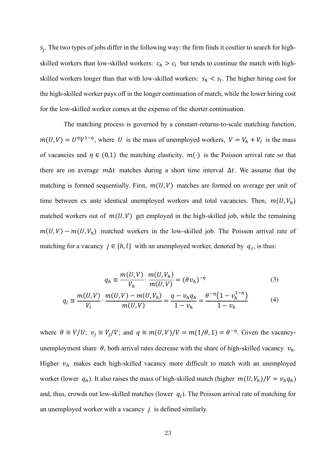$s_j$ . The two types of jobs differ in the following way: the firm finds it costlier to search for highskilled workers than low-skilled workers:  $c_h > c_l$  but tends to continue the match with highskilled workers longer than that with low-skilled workers:  $s_h < s_l$ . The higher hiring cost for the high-skilled worker pays off in the longer continuation of match, while the lower hiring cost for the low-skilled worker comes at the expense of the shorter continuation.

The matching process is governed by a constant-returns-to-scale matching function,  $m(U, V) = U^{\eta}V^{1-\eta}$ , where U is the mass of unemployed workers,  $V = V_h + V_l$  is the mass of vacancies and  $\eta \in (0,1)$  the matching elasticity.  $m(\cdot)$  is the Poisson arrival rate so that there are on average  $m\Delta t$  matches during a short time interval  $\Delta t$ . We assume that the matching is formed sequentially. First,  $m(U, V)$  matches are formed on average per unit of time between ex ante identical unemployed workers and total vacancies. Then,  $m(U, V_h)$ matched workers out of  $m(U, V)$  get employed in the high-skilled job, while the remaining  $m(U, V) - m(U, V_h)$  matched workers in the low-skilled job. The Poisson arrival rate of matching for a vacancy  $j \in \{h, l\}$  with an unemployed worker, denoted by  $q_j$ , is thus:

$$
q_h \equiv \frac{m(U, V)}{V_h} \cdot \frac{m(U, V_h)}{m(U, V)} = (\theta v_h)^{-\eta}
$$
 (3)

$$
q_l \equiv \frac{m(U, V)}{V_l} \cdot \frac{m(U, V) - m(U, V_h)}{m(U, V)} = \frac{q - v_h q_h}{1 - v_h} = \frac{\theta^{-\eta} (1 - v_h^{1 - \eta})}{1 - v_h}
$$
(4)

where  $\theta \equiv V/U$ ;  $v_j \equiv V_j/V$ ; and  $q \equiv m(U, V)/V = m(1/\theta, 1) = \theta^{-\eta}$ . Given the vacancyunemployment share  $\theta$ , both arrival rates decrease with the share of high-skilled vacancy  $v_h$ . Higher  $v_h$  makes each high-skilled vacancy more difficult to match with an unemployed worker (lower  $q_h$ ). It also raises the mass of high-skilled match (higher  $m(U, V_h)/V = v_h q_h$ ) and, thus, crowds out low-skilled matches (lower  $q_l$ ). The Poisson arrival rate of matching for an unemployed worker with a vacancy  $j$  is defined similarly.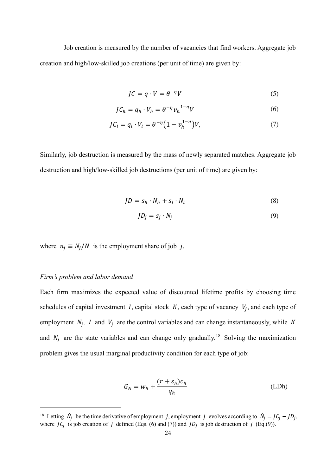Job creation is measured by the number of vacancies that find workers. Aggregate job creation and high/low-skilled job creations (per unit of time) are given by:

$$
JC = q \cdot V = \theta^{-\eta} V \tag{5}
$$

$$
JC_h = q_h \cdot V_h = \theta^{-\eta} v_h^{1-\eta} V \tag{6}
$$

$$
JC_l = q_l \cdot V_l = \theta^{-\eta} \left( 1 - v_h^{1-\eta} \right) V,\tag{7}
$$

Similarly, job destruction is measured by the mass of newly separated matches. Aggregate job destruction and high/low-skilled job destructions (per unit of time) are given by:

$$
JD = s_h \cdot N_h + s_l \cdot N_l \tag{8}
$$

$$
JD_j = s_j \cdot N_j \tag{9}
$$

where  $n_i \equiv N_i/N$  is the employment share of job j.

#### *Firm's problem and labor demand*

Each firm maximizes the expected value of discounted lifetime profits by choosing time schedules of capital investment *I*, capital stock  $K$ , each type of vacancy  $V_j$ , and each type of employment  $N_j$ . I and  $V_j$  are the control variables and can change instantaneously, while K and  $N_j$  are the state variables and can change only gradually.<sup>18</sup> Solving the maximization problem gives the usual marginal productivity condition for each type of job:

$$
G_N = w_h + \frac{(r + s_h)c_h}{q_h}
$$
 (LDh)

<sup>&</sup>lt;sup>18</sup> Letting  $\dot{N}_j$  be the time derivative of employment j, employment j evolves according to  $\dot{N}_j = J C_j - J D_j$ , where  $JC_j$  is job creation of  $j$  defined (Eqs. (6) and (7)) and  $JD_j$  is job destruction of  $j$  (Eq.(9)).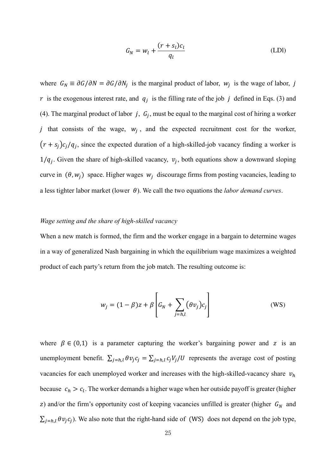$$
G_N = w_l + \frac{(r + s_l)c_l}{q_l} \tag{LDI}
$$

where  $G_N \equiv \partial G / \partial N = \partial G / \partial N_j$  is the marginal product of labor,  $W_j$  is the wage of labor, j r is the exogenous interest rate, and  $q_j$  is the filling rate of the job j defined in Eqs. (3) and (4). The marginal product of labor  $j, G_j$ , must be equal to the marginal cost of hiring a worker *j* that consists of the wage,  $w_j$ , and the expected recruitment cost for the worker,  $(r + s_j)c_j/q_j$ , since the expected duration of a high-skilled-job vacancy finding a worker is  $1/q_j$ . Given the share of high-skilled vacancy,  $v_j$ , both equations show a downward sloping curve in  $(\theta, w_j)$  space. Higher wages  $w_j$  discourage firms from posting vacancies, leading to a less tighter labor market (lower  $\theta$ ). We call the two equations the *labor demand curves*.

#### *Wage setting and the share of high-skilled vacancy*

When a new match is formed, the firm and the worker engage in a bargain to determine wages in a way of generalized Nash bargaining in which the equilibrium wage maximizes a weighted product of each party's return from the job match. The resulting outcome is:

$$
w_j = (1 - \beta)z + \beta \left[ G_N + \sum_{j=h,l} (\theta v_j) c_j \right]
$$
 (WS)

where  $\beta \in (0,1)$  is a parameter capturing the worker's bargaining power and z is an unemployment benefit.  $\sum_{j=h,l} \theta v_j c_j = \sum_{j=h,l} c_j V_j / U$  represents the average cost of posting vacancies for each unemployed worker and increases with the high-skilled-vacancy share  $v<sub>h</sub>$ because  $c_h > c_l$ . The worker demands a higher wage when her outside payoff is greater (higher z) and/or the firm's opportunity cost of keeping vacancies unfilled is greater (higher  $G_N$  and  $\sum_{j=h,l} \theta v_j c_j$ ). We also note that the right-hand side of (WS) does not depend on the job type,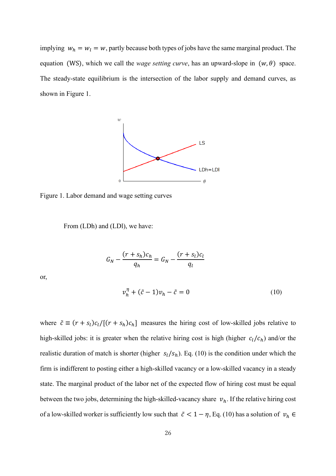implying  $w_h = w_l = w$ , partly because both types of jobs have the same marginal product. The equation (WS), which we call the *wage setting curve*, has an upward-slope in  $(w, \theta)$  space. The steady-state equilibrium is the intersection of the labor supply and demand curves, as shown in Figure 1.



Figure 1. Labor demand and wage setting curves

From (LDh) and (LDl), we have:

$$
G_N - \frac{(r+s_h)c_h}{q_h} = G_N - \frac{(r+s_l)c_l}{q_l}
$$

or,

$$
v_h^{\eta} + (\tilde{c} - 1)v_h - \tilde{c} = 0
$$
 (10)

where  $\tilde{c} \equiv (r + s_l)c_l/[(r + s_h)c_h]$  measures the hiring cost of low-skilled jobs relative to high-skilled jobs: it is greater when the relative hiring cost is high (higher  $c_l/c_h$ ) and/or the realistic duration of match is shorter (higher  $s_l/s_h$ ). Eq. (10) is the condition under which the firm is indifferent to posting either a high-skilled vacancy or a low-skilled vacancy in a steady state. The marginal product of the labor net of the expected flow of hiring cost must be equal between the two jobs, determining the high-skilled-vacancy share  $v_h$ . If the relative hiring cost of a low-skilled worker is sufficiently low such that  $\tilde{c} < 1 - \eta$ , Eq. (10) has a solution of  $v_h \in$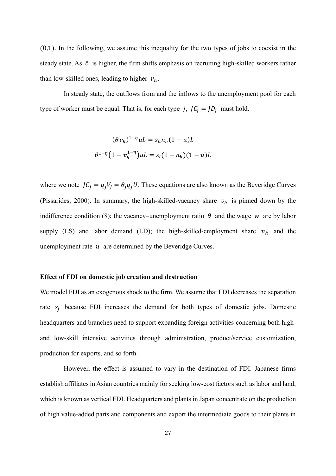(0,1). In the following, we assume this inequality for the two types of jobs to coexist in the steady state. As  $\tilde{c}$  is higher, the firm shifts emphasis on recruiting high-skilled workers rather than low-skilled ones, leading to higher  $v_h$ .

In steady state, the outflows from and the inflows to the unemployment pool for each type of worker must be equal. That is, for each type  $j$ ,  $JC_j = JD_j$  must hold.

$$
(\theta v_h)^{1-\eta} uL = s_h n_h (1 - u)L
$$
  

$$
\theta^{1-\eta} (1 - v_h^{1-\eta}) uL = s_l (1 - n_h)(1 - u)L
$$

where we note  $JC_j = q_jV_j = \theta_jq_jU$ . These equations are also known as the Beveridge Curves (Pissarides, 2000). In summary, the high-skilled-vacancy share  $v_h$  is pinned down by the indifference condition (8); the vacancy–unemployment ratio  $\theta$  and the wage w are by labor supply (LS) and labor demand (LD); the high-skilled-employment share  $n_h$  and the unemployment rate  $u$  are determined by the Beveridge Curves.

#### **Effect of FDI on domestic job creation and destruction**

We model FDI as an exogenous shock to the firm. We assume that FDI decreases the separation rate  $s_j$  because FDI increases the demand for both types of domestic jobs. Domestic headquarters and branches need to support expanding foreign activities concerning both highand low-skill intensive activities through administration, product/service customization, production for exports, and so forth.

However, the effect is assumed to vary in the destination of FDI. Japanese firms establish affiliates in Asian countries mainly for seeking low-cost factors such as labor and land, which is known as vertical FDI. Headquarters and plants in Japan concentrate on the production of high value-added parts and components and export the intermediate goods to their plants in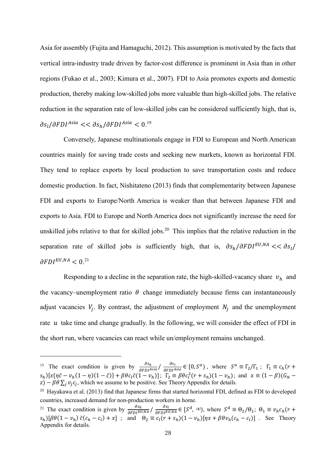Asia for assembly (Fujita and Hamaguchi, 2012). This assumption is motivated by the facts that vertical intra-industry trade driven by factor-cost difference is prominent in Asia than in other regions (Fukao et al., 2003; Kimura et al., 2007). FDI to Asia promotes exports and domestic production, thereby making low-skilled jobs more valuable than high-skilled jobs. The relative reduction in the separation rate of low-skilled jobs can be considered sufficiently high, that is,  $\partial s_l/\partial FDI^{Asia} << \partial s_h/\partial FDI^{Asia} < 0.19$ 

Conversely, Japanese multinationals engage in FDI to European and North American countries mainly for saving trade costs and seeking new markets, known as horizontal FDI. They tend to replace exports by local production to save transportation costs and reduce domestic production. In fact, Nishitateno (2013) finds that complementarity between Japanese FDI and exports to Europe/North America is weaker than that between Japanese FDI and exports to Asia. FDI to Europe and North America does not significantly increase the need for unskilled jobs relative to that for skilled jobs.<sup>20</sup> This implies that the relative reduction in the separation rate of skilled jobs is sufficiently high, that is,  $\partial s_h/\partial FDI^{EU,NA} << \partial s_l/$  $\partial FDI^{EU,NA}< 0.^{21}$ 

Responding to a decline in the separation rate, the high-skilled-vacancy share  $v_h$  and the vacancy–unemployment ratio  $\theta$  change immediately because firms can instantaneously adjust vacancies  $V_j$ . By contrast, the adjustment of employment  $N_j$  and the unemployment rate  $u$  take time and change gradually. In the following, we will consider the effect of FDI in the short run, where vacancies can react while un/employment remains unchanged.

<sup>&</sup>lt;sup>19</sup> The exact condition is given by  $\frac{\partial s_h}{\partial F D I^{Asia}} / \frac{\partial s_l}{\partial F D I^{Asia}} \in [0, S^a)$ , where  $S^a \equiv \Gamma_2/\Gamma_1$ ;  $\Gamma_1 \equiv c_h (r +$  $S_h$ )[ $x\{\eta\tilde{c} - v_h(1-\eta)(1-\tilde{c})\} + \beta\theta c_l\tilde{c}(1-v_h);$   $\Gamma_2 \equiv \beta\theta c_l^2(r + s_h)(1-v_h);$  and  $x \equiv (1-\beta)(G_N - G_l)$  $(z) - \beta \theta \sum_j v_j c_j$ , which we assume to be positive. See Theory Appendix for details.

<sup>&</sup>lt;sup>20</sup> Hayakawa et al. (2013) find that Japanese firms that started horizontal FDI, defined as FDI to developed countries, increased demand for non-production workers in home.

<sup>&</sup>lt;sup>21</sup> The exact condition is given by  $\frac{\partial s_h}{\partial FDI^{EU,NA}} / \frac{\partial s_l}{\partial FDI^{EU,NA}} \in [S^d, \infty)$ , where  $S^d \equiv \Theta_2/\Theta_1$ ;  $\Theta_1 \equiv v_h c_h (r +$  $s_h$ )[ $\beta\theta(1 - v_h) \tilde{c}(c_h - c_l) + x$ ]; and  $\theta_2 \equiv c_l(r + s_h)(1 - v_h)[\eta x + \beta\theta v_h(c_h - c_l)]$ . See Theory Appendix for details.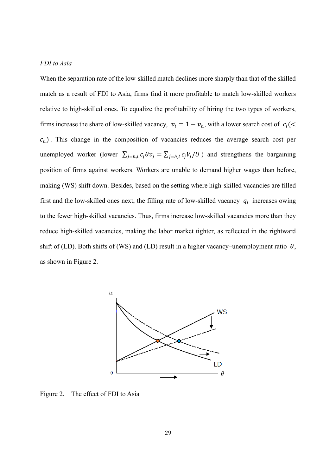#### *FDI to Asia*

When the separation rate of the low-skilled match declines more sharply than that of the skilled match as a result of FDI to Asia, firms find it more profitable to match low-skilled workers relative to high-skilled ones. To equalize the profitability of hiring the two types of workers, firms increase the share of low-skilled vacancy,  $v_l = 1 - v_h$ , with a lower search cost of  $c_l$ (<  $c<sub>h</sub>$ ). This change in the composition of vacancies reduces the average search cost per unemployed worker (lower  $\sum_{j=h,l} c_j \theta v_j = \sum_{j=h,l} c_j V_j / U$ ) and strengthens the bargaining position of firms against workers. Workers are unable to demand higher wages than before, making (WS) shift down. Besides, based on the setting where high-skilled vacancies are filled first and the low-skilled ones next, the filling rate of low-skilled vacancy  $q_l$  increases owing to the fewer high-skilled vacancies. Thus, firms increase low-skilled vacancies more than they reduce high-skilled vacancies, making the labor market tighter, as reflected in the rightward shift of (LD). Both shifts of (WS) and (LD) result in a higher vacancy–unemployment ratio  $\theta$ , as shown in Figure 2.



Figure 2. The effect of FDI to Asia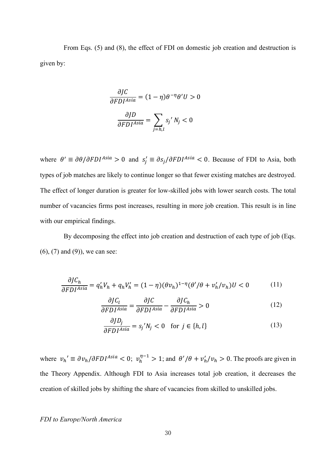From Eqs. (5) and (8), the effect of FDI on domestic job creation and destruction is given by:

$$
\frac{\partial JC}{\partial FDI^{Asia}} = (1 - \eta)\theta^{-\eta}\theta'U > 0
$$

$$
\frac{\partial JD}{\partial FDI^{Asia}} = \sum_{j=h,l} s_j' N_j < 0
$$

where  $\theta' \equiv \partial \theta / \partial FDI^{Asia} > 0$  and  $s'_j \equiv \partial s_j / \partial FDI^{Asia} < 0$ . Because of FDI to Asia, both types of job matches are likely to continue longer so that fewer existing matches are destroyed. The effect of longer duration is greater for low-skilled jobs with lower search costs. The total number of vacancies firms post increases, resulting in more job creation. This result is in line with our empirical findings.

By decomposing the effect into job creation and destruction of each type of job (Eqs. (6), (7) and (9)), we can see:

$$
\frac{\partial J C_h}{\partial F D I^{Asia}} = q'_h V_h + q_h V'_h = (1 - \eta)(\theta v_h)^{1 - \eta} (\theta' / \theta + v'_h / v_h) U < 0 \tag{11}
$$

$$
\frac{\partial J C_l}{\partial FDI^{Asia}} = \frac{\partial J C}{\partial FDI^{Asia}} - \frac{\partial J C_h}{\partial FDI^{Asia}} > 0
$$
\n(12)

$$
\frac{\partial J D_j}{\partial F D I^{Asia}} = s_j' N_j < 0 \quad \text{for } j \in \{h, l\} \tag{13}
$$

where  $v_h' \equiv \frac{\partial v_h}{\partial F D I^{Asia}} < 0$ ;  $v_h^{\eta - 1} > 1$ ; and  $\frac{\theta'}{\theta} + v_h' v_h > 0$ . The proofs are given in the Theory Appendix. Although FDI to Asia increases total job creation, it decreases the creation of skilled jobs by shifting the share of vacancies from skilled to unskilled jobs.

#### *FDI to Europe/North America*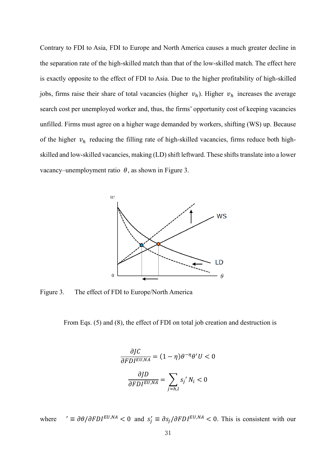Contrary to FDI to Asia, FDI to Europe and North America causes a much greater decline in the separation rate of the high-skilled match than that of the low-skilled match. The effect here is exactly opposite to the effect of FDI to Asia. Due to the higher profitability of high-skilled jobs, firms raise their share of total vacancies (higher  $v_h$ ). Higher  $v_h$  increases the average search cost per unemployed worker and, thus, the firms' opportunity cost of keeping vacancies unfilled. Firms must agree on a higher wage demanded by workers, shifting (WS) up. Because of the higher  $v_h$  reducing the filling rate of high-skilled vacancies, firms reduce both highskilled and low-skilled vacancies, making (LD) shift leftward. These shifts translate into a lower vacancy–unemployment ratio  $\theta$ , as shown in Figure 3.



Figure 3. The effect of FDI to Europe/North America

From Eqs. (5) and (8), the effect of FDI on total job creation and destruction is

$$
\frac{\partial J C}{\partial F D I^{EU,NA}} = (1 - \eta) \theta^{-\eta} \theta' U < 0
$$
\n
$$
\frac{\partial J D}{\partial F D I^{EU,NA}} = \sum_{j=h,l} s_j' N_i < 0
$$

where  $' \equiv \partial \theta / \partial FDI^{EU,NA} < 0$  and  $s'_j \equiv \partial s_j / \partial FDI^{EU,NA} < 0$ . This is consistent with our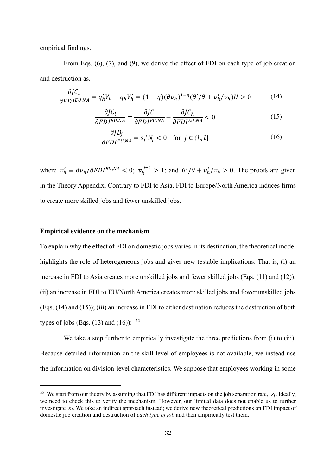empirical findings.

From Eqs. (6), (7), and (9), we derive the effect of FDI on each type of job creation and destruction as.

$$
\frac{\partial J C_h}{\partial F D I^{EU,NA}} = q'_h V_h + q_h V'_h = (1 - \eta)(\theta v_h)^{1 - \eta} (\theta' / \theta + v'_h / v_h) U > 0 \tag{14}
$$

$$
\frac{\partial J C_l}{\partial F D I^{EU,NA}} = \frac{\partial J C}{\partial F D I^{EU,NA}} - \frac{\partial J C_h}{\partial F D I^{EU,NA}} < 0 \tag{15}
$$

$$
\frac{\partial J D_j}{\partial F D I^{EU,NA}} = s_j' N_j < 0 \quad \text{for } j \in \{h, l\} \tag{16}
$$

where  $v'_h \equiv \partial v_h / \partial FDI^{EU,NA} < 0$ ;  $v_h^{\eta-1} > 1$ ; and  $\theta' / \theta + v'_h / v_h > 0$ . The proofs are given in the Theory Appendix. Contrary to FDI to Asia, FDI to Europe/North America induces firms to create more skilled jobs and fewer unskilled jobs.

#### **Empirical evidence on the mechanism**

To explain why the effect of FDI on domestic jobs varies in its destination, the theoretical model highlights the role of heterogeneous jobs and gives new testable implications. That is, (i) an increase in FDI to Asia creates more unskilled jobs and fewer skilled jobs (Eqs. (11) and (12)); (ii) an increase in FDI to EU/North America creates more skilled jobs and fewer unskilled jobs (Eqs. (14) and (15)); (iii) an increase in FDI to either destination reduces the destruction of both types of jobs (Eqs. (13) and (16)):  $^{22}$ 

We take a step further to empirically investigate the three predictions from (i) to (iii). Because detailed information on the skill level of employees is not available, we instead use the information on division-level characteristics. We suppose that employees working in some

<sup>&</sup>lt;sup>22</sup> We start from our theory by assuming that FDI has different impacts on the job separation rate,  $s_i$ . Ideally, we need to check this to verify the mechanism. However, our limited data does not enable us to further investigate  $s_i$ . We take an indirect approach instead; we derive new theoretical predictions on FDI impact of domestic job creation and destruction of *each type of job* and then empirically test them.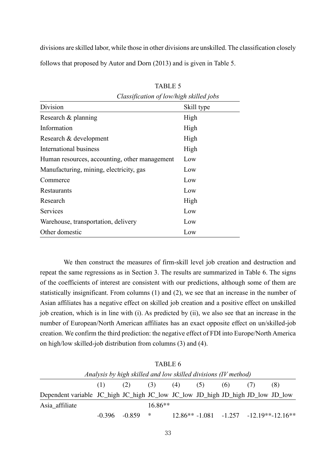divisions are skilled labor, while those in other divisions are unskilled. The classification closely follows that proposed by Autor and Dorn (2013) and is given in Table 5.

|                                               | Classification of low/high skilled jobs |
|-----------------------------------------------|-----------------------------------------|
| Division                                      | Skill type                              |
| Research & planning                           | High                                    |
| Information                                   | High                                    |
| Research & development                        | High                                    |
| International business                        | High                                    |
| Human resources, accounting, other management | Low                                     |
| Manufacturing, mining, electricity, gas       | Low                                     |
| Commerce                                      | Low                                     |
| Restaurants                                   | Low                                     |
| Research                                      | High                                    |
| Services                                      | Low                                     |
| Warehouse, transportation, delivery           | Low                                     |
| Other domestic                                | Low                                     |

TABLE 5

We then construct the measures of firm-skill level job creation and destruction and repeat the same regressions as in Section 3. The results are summarized in Table 6. The signs of the coefficients of interest are consistent with our predictions, although some of them are statistically insignificant. From columns (1) and (2), we see that an increase in the number of Asian affiliates has a negative effect on skilled job creation and a positive effect on unskilled job creation, which is in line with (i). As predicted by (ii), we also see that an increase in the number of European/North American affiliates has an exact opposite effect on un/skilled-job creation. We confirm the third prediction: the negative effect of FDI into Europe/North America on high/low skilled-job distribution from columns (3) and (4).

| Analysis by high skilled and low skilled divisions (IV method)                 |             |  |           |                   |  |     |  |                                                                          |
|--------------------------------------------------------------------------------|-------------|--|-----------|-------------------|--|-----|--|--------------------------------------------------------------------------|
|                                                                                | $(1)$ $(2)$ |  |           | $(3)$ $(4)$ $(5)$ |  | (6) |  | (8)                                                                      |
| Dependent variable JC_high JC_high JC_low JC_low JD_high JD_high JD_low JD_low |             |  |           |                   |  |     |  |                                                                          |
| Asia affiliate                                                                 |             |  | $16.86**$ |                   |  |     |  |                                                                          |
|                                                                                |             |  |           |                   |  |     |  | $-0.396$ $-0.859$ * $12.86$ ** $-1.081$ $-1.257$ $-12.19$ ** $-12.16$ ** |

TABLE 6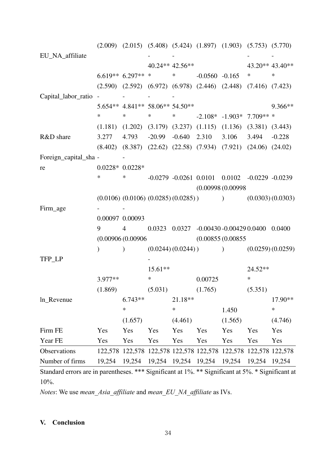|                       |                   | $(2.009)$ $(2.015)$ $(5.408)$ $(5.424)$ $(1.897)$ $(1.903)$ $(5.753)$ $(5.770)$ |             |                                      |                  |                                                           |           |                 |  |  |
|-----------------------|-------------------|---------------------------------------------------------------------------------|-------------|--------------------------------------|------------------|-----------------------------------------------------------|-----------|-----------------|--|--|
| EU_NA_affiliate       |                   |                                                                                 |             |                                      |                  |                                                           |           |                 |  |  |
|                       |                   |                                                                                 |             | $40.24**$ 42.56**                    |                  |                                                           |           | 43.20** 43.40** |  |  |
|                       |                   | $6.619**$ 6.297** * *                                                           |             |                                      | $-0.0560 -0.165$ |                                                           | $\ast$    | $\ast$          |  |  |
|                       |                   | $(2.590)$ $(2.592)$ $(6.972)$ $(6.978)$ $(2.446)$ $(2.448)$ $(7.416)$ $(7.423)$ |             |                                      |                  |                                                           |           |                 |  |  |
| Capital_labor_ratio - |                   |                                                                                 |             |                                      |                  |                                                           |           |                 |  |  |
|                       |                   | 5.654** 4.841** 58.06** 54.50**                                                 |             |                                      |                  |                                                           |           | 9.366**         |  |  |
|                       | $\ast$            | $\ast$                                                                          | $\ast$      |                                      |                  | * $-2.108* -1.903* 7.709**$                               |           |                 |  |  |
|                       |                   | $(1.181)$ $(1.202)$ $(3.179)$ $(3.237)$ $(1.115)$ $(1.136)$ $(3.381)$ $(3.443)$ |             |                                      |                  |                                                           |           |                 |  |  |
| R&D share             | 3.277             | 4.793 -20.99 -0.640 2.310 3.106 3.494 -0.228                                    |             |                                      |                  |                                                           |           |                 |  |  |
|                       |                   | $(8.402)$ $(8.387)$ $(22.62)$ $(22.58)$ $(7.934)$ $(7.921)$ $(24.06)$ $(24.02)$ |             |                                      |                  |                                                           |           |                 |  |  |
| Foreign_capital_sha - |                   |                                                                                 |             |                                      |                  |                                                           |           |                 |  |  |
| re                    | $0.0228* 0.0228*$ |                                                                                 |             |                                      |                  |                                                           |           |                 |  |  |
|                       | $\ast$            | $*$ and $*$                                                                     |             |                                      |                  | $-0.0279$ $-0.0261$ $0.0101$ $0.0102$ $-0.0229$ $-0.0239$ |           |                 |  |  |
|                       |                   |                                                                                 |             |                                      |                  | (0.00998(0.00998                                          |           |                 |  |  |
|                       |                   | $(0.0106) (0.0106) (0.0285) (0.0285)$ (0.0303) (0.0303)                         |             |                                      |                  |                                                           |           |                 |  |  |
| Firm_age              |                   |                                                                                 |             |                                      |                  |                                                           |           |                 |  |  |
|                       | 0.00097 0.00093   |                                                                                 |             |                                      |                  |                                                           |           |                 |  |  |
|                       | 9                 | $\overline{4}$                                                                  |             |                                      |                  | $0.0323$ $0.0327$ $-0.00430$ $-0.00429$ $0.0400$ $0.0400$ |           |                 |  |  |
|                       |                   |                                                                                 |             | (0.00906(0.00906<br>(0.00855(0.00855 |                  |                                                           |           |                 |  |  |
|                       | $\mathcal{L}$     | $\lambda$                                                                       |             |                                      |                  | $(0.0244)(0.0244))$ $(0.0259)(0.0259)$                    |           |                 |  |  |
| TFP_LP                |                   |                                                                                 |             |                                      |                  |                                                           |           |                 |  |  |
|                       |                   |                                                                                 | $15.61**$   |                                      |                  |                                                           | $24.52**$ |                 |  |  |
|                       | $3.977**$         |                                                                                 | $*$ and $*$ |                                      | 0.00725          |                                                           | $\ast$    |                 |  |  |
|                       |                   | (1.869)                                                                         | (5.031)     |                                      | (1.765)          |                                                           | (5.351)   |                 |  |  |
| ln_Revenue            |                   | $6.743**$                                                                       |             | 21.18**                              |                  |                                                           |           | 17.90**         |  |  |
|                       |                   | $\ast$                                                                          |             | *                                    |                  | 1.450                                                     |           | $\ast$          |  |  |
|                       |                   | (1.657)                                                                         |             | (4.461)                              |                  | (1.565)                                                   |           | (4.746)         |  |  |
| Firm FE               | Yes               | Yes                                                                             | Yes         | Yes                                  | Yes              | Yes                                                       | Yes       | Yes             |  |  |
| Year FE               | Yes               | Yes                                                                             | Yes         | Yes                                  | Yes              | Yes                                                       | Yes       | Yes             |  |  |
| Observations          |                   | 122,578 122,578 122,578 122,578 122,578 122,578 122,578 122,578                 |             |                                      |                  |                                                           |           |                 |  |  |
| Number of firms       |                   |                                                                                 |             |                                      |                  |                                                           |           |                 |  |  |
|                       |                   |                                                                                 |             |                                      |                  |                                                           |           |                 |  |  |

*Notes*: We use *mean\_Asia\_affiliate* and *mean\_EU\_NA\_affiliate* as IVs.

# **V. Conclusion**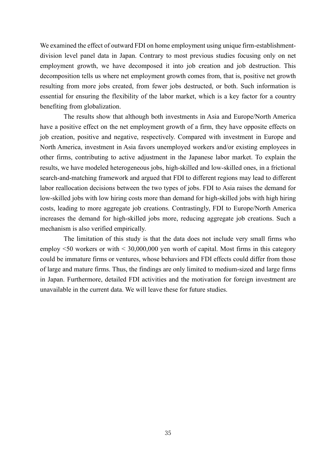We examined the effect of outward FDI on home employment using unique firm-establishmentdivision level panel data in Japan. Contrary to most previous studies focusing only on net employment growth, we have decomposed it into job creation and job destruction. This decomposition tells us where net employment growth comes from, that is, positive net growth resulting from more jobs created, from fewer jobs destructed, or both. Such information is essential for ensuring the flexibility of the labor market, which is a key factor for a country benefiting from globalization.

The results show that although both investments in Asia and Europe/North America have a positive effect on the net employment growth of a firm, they have opposite effects on job creation, positive and negative, respectively. Compared with investment in Europe and North America, investment in Asia favors unemployed workers and/or existing employees in other firms, contributing to active adjustment in the Japanese labor market. To explain the results, we have modeled heterogeneous jobs, high-skilled and low-skilled ones, in a frictional search-and-matching framework and argued that FDI to different regions may lead to different labor reallocation decisions between the two types of jobs. FDI to Asia raises the demand for low-skilled jobs with low hiring costs more than demand for high-skilled jobs with high hiring costs, leading to more aggregate job creations. Contrastingly, FDI to Europe/North America increases the demand for high-skilled jobs more, reducing aggregate job creations. Such a mechanism is also verified empirically.

The limitation of this study is that the data does not include very small firms who employ <50 workers or with < 30,000,000 yen worth of capital. Most firms in this category could be immature firms or ventures, whose behaviors and FDI effects could differ from those of large and mature firms. Thus, the findings are only limited to medium-sized and large firms in Japan. Furthermore, detailed FDI activities and the motivation for foreign investment are unavailable in the current data. We will leave these for future studies.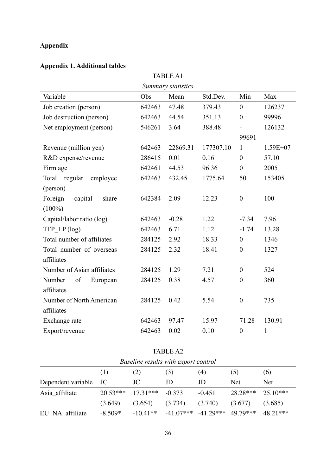# **Appendix**

# **Appendix 1. Additional tables**

|                              | <b>TABLE A1</b> |                    |           |                  |              |  |  |  |  |  |
|------------------------------|-----------------|--------------------|-----------|------------------|--------------|--|--|--|--|--|
|                              |                 | Summary statistics |           |                  |              |  |  |  |  |  |
| Variable                     | Obs             | Mean               | Std.Dev.  | Min              | Max          |  |  |  |  |  |
| Job creation (person)        | 642463          | 47.48              | 379.43    | $\overline{0}$   | 126237       |  |  |  |  |  |
| Job destruction (person)     | 642463          | 44.54              | 351.13    | $\boldsymbol{0}$ | 99996        |  |  |  |  |  |
| Net employment (person)      | 546261          | 3.64               | 388.48    |                  | 126132       |  |  |  |  |  |
|                              |                 |                    |           | 99691            |              |  |  |  |  |  |
| Revenue (million yen)        | 642463          | 22869.31           | 177307.10 | $\mathbf{1}$     | $1.59E+07$   |  |  |  |  |  |
| R&D expense/revenue          | 286415          | 0.01               | 0.16      | $\overline{0}$   | 57.10        |  |  |  |  |  |
| Firm age                     | 642461          | 44.53              | 96.36     | $\mathbf{0}$     | 2005         |  |  |  |  |  |
| Total<br>regular<br>employee | 642463          | 432.45             | 1775.64   | 50               | 153405       |  |  |  |  |  |
| (person)                     |                 |                    |           |                  |              |  |  |  |  |  |
| Foreign<br>capital<br>share  | 642384          | 2.09               | 12.23     | $\boldsymbol{0}$ | 100          |  |  |  |  |  |
| $(100\%)$                    |                 |                    |           |                  |              |  |  |  |  |  |
| Capital/labor ratio (log)    | 642463          | $-0.28$            | 1.22      | $-7.34$          | 7.96         |  |  |  |  |  |
| TFP $LP(log)$                | 642463          | 6.71               | 1.12      | $-1.74$          | 13.28        |  |  |  |  |  |
| Total number of affiliates   | 284125          | 2.92               | 18.33     | $\boldsymbol{0}$ | 1346         |  |  |  |  |  |
| Total number of overseas     | 284125          | 2.32               | 18.41     | $\boldsymbol{0}$ | 1327         |  |  |  |  |  |
| affiliates                   |                 |                    |           |                  |              |  |  |  |  |  |
| Number of Asian affiliates   | 284125          | 1.29               | 7.21      | $\boldsymbol{0}$ | 524          |  |  |  |  |  |
| Number<br>of<br>European     | 284125          | 0.38               | 4.57      | $\boldsymbol{0}$ | 360          |  |  |  |  |  |
| affiliates                   |                 |                    |           |                  |              |  |  |  |  |  |
| Number of North American     | 284125          | 0.42               | 5.54      | $\boldsymbol{0}$ | 735          |  |  |  |  |  |
| affiliates                   |                 |                    |           |                  |              |  |  |  |  |  |
| Exchange rate                | 642463          | 97.47              | 15.97     | 71.28            | 130.91       |  |  |  |  |  |
| Export/revenue               | 642463          | 0.02               | 0.10      | $\boldsymbol{0}$ | $\mathbf{1}$ |  |  |  |  |  |

|                    |            |            | 11 D D D 1 D 2                       |             |            |            |  |
|--------------------|------------|------------|--------------------------------------|-------------|------------|------------|--|
|                    |            |            | Baseline results with export control |             |            |            |  |
|                    | (1)        | (2)        | (3)                                  | (4)         | (5)        | (6)        |  |
| Dependent variable | JC         | JC         | JD                                   | JD          | <b>Net</b> | <b>Net</b> |  |
| Asia_affiliate     | $20.53***$ | $17.31***$ | $-0.373$                             | $-0.451$    | $28.28***$ | $25.10***$ |  |
|                    | (3.649)    | (3.654)    | (3.734)                              | (3.740)     | (3.677)    | (3.685)    |  |
| EU_NA_affiliate    | $-8.509*$  | $-10.41**$ | $-41.07***$                          | $-41.29***$ | 49.79***   | $48.21***$ |  |

TABLE A2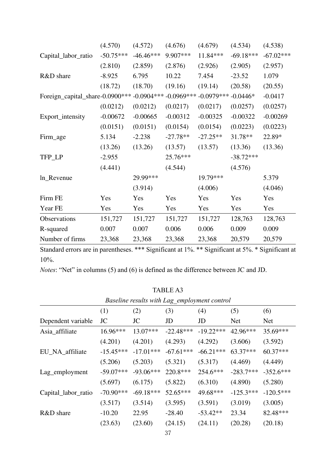|                                                                                                            | (4.570)     | (4.572)     | (4.676)    | (4.679)    | (4.534)     | (4.538)     |  |
|------------------------------------------------------------------------------------------------------------|-------------|-------------|------------|------------|-------------|-------------|--|
| Capital_labor_ratio                                                                                        | $-50.75***$ | $-46.46***$ | 9.907***   | 11.84***   | $-69.18***$ | $-67.02***$ |  |
|                                                                                                            | (2.810)     | (2.859)     | (2.876)    | (2.926)    | (2.905)     | (2.957)     |  |
| R&D share                                                                                                  | $-8.925$    | 6.795       | 10.22      | 7.454      | $-23.52$    | 1.079       |  |
|                                                                                                            | (18.72)     | (18.70)     | (19.16)    | (19.14)    | (20.58)     | (20.55)     |  |
| $-0.0904***$<br>$-0.0969***$<br>Foreign_capital_share-0.0900***<br>$-0.0979***$<br>$-0.0446*$<br>$-0.0417$ |             |             |            |            |             |             |  |
|                                                                                                            | (0.0212)    | (0.0212)    | (0.0217)   | (0.0217)   | (0.0257)    | (0.0257)    |  |
| Export_intensity                                                                                           | $-0.00672$  | $-0.00665$  | $-0.00312$ | $-0.00325$ | $-0.00322$  | $-0.00269$  |  |
|                                                                                                            | (0.0151)    | (0.0151)    | (0.0154)   | (0.0154)   | (0.0223)    | (0.0223)    |  |
| Firm_age                                                                                                   | 5.134       | $-2.238$    | $-27.78**$ | $-27.25**$ | 31.78**     | 22.89*      |  |
|                                                                                                            | (13.26)     | (13.26)     | (13.57)    | (13.57)    | (13.36)     | (13.36)     |  |
| TFP_LP                                                                                                     | $-2.955$    |             | 25.76***   |            | $-38.72***$ |             |  |
|                                                                                                            | (4.441)     |             | (4.544)    |            | (4.576)     |             |  |
| ln_Revenue                                                                                                 |             | 29.99***    |            | 19.79***   |             | 5.379       |  |
|                                                                                                            |             | (3.914)     |            | (4.006)    |             | (4.046)     |  |
| Firm FE                                                                                                    | Yes         | Yes         | Yes        | Yes        | Yes         | Yes         |  |
| Year FE                                                                                                    | Yes         | Yes         | Yes        | Yes        | Yes         | Yes         |  |
| Observations                                                                                               | 151,727     | 151,727     | 151,727    | 151,727    | 128,763     | 128,763     |  |
| R-squared                                                                                                  | 0.007       | 0.007       | 0.006      | 0.006      | 0.009       | 0.009       |  |
| Number of firms                                                                                            | 23,368      | 23,368      | 23,368     | 23,368     | 20,579      | 20,579      |  |

*Notes*: "Net" in columns (5) and (6) is defined as the difference between JC and JD.

| Baseline results with Lag employment control |             |             |             |             |             |             |  |  |
|----------------------------------------------|-------------|-------------|-------------|-------------|-------------|-------------|--|--|
|                                              | (1)         | (2)         | (3)         | (4)         | (5)         | (6)         |  |  |
| Dependent variable                           | JC          | JC          | JD          | JD          | Net         | Net         |  |  |
| Asia_affiliate                               | $16.96***$  | $13.07***$  | $-22.48***$ | $-19.22***$ | 42.96***    | 35.69***    |  |  |
|                                              | (4.201)     | (4.201)     | (4.293)     | (4.292)     | (3.606)     | (3.592)     |  |  |
| EU_NA_affiliate                              | $-15.45***$ | $-17.01***$ | $-67.61***$ | $-66.21***$ | 63.37***    | $60.37***$  |  |  |
|                                              | (5.206)     | (5.203)     | (5.321)     | (5.317)     | (4.469)     | (4.449)     |  |  |
| Lag_employment                               | $-59.07***$ | $-93.06***$ | 220.8***    | 254.6***    | $-283.7***$ | $-352.6***$ |  |  |
|                                              | (5.697)     | (6.175)     | (5.822)     | (6.310)     | (4.890)     | (5.280)     |  |  |
| Capital_labor_ratio                          | $-70.90***$ | $-69.18***$ | $52.65***$  | 49.68***    | $-125.3***$ | $-120.5***$ |  |  |
|                                              | (3.517)     | (3.514)     | (3.595)     | (3.591)     | (3.019)     | (3.005)     |  |  |
| R&D share                                    | $-10.20$    | 22.95       | $-28.40$    | $-53.42**$  | 23.34       | 82.48***    |  |  |
|                                              | (23.63)     | (23.60)     | (24.15)     | (24.11)     | (20.28)     | (20.18)     |  |  |
|                                              |             |             | ∩⊓          |             |             |             |  |  |

TABLE A3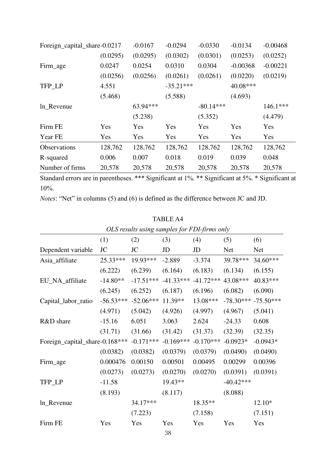| Foreign_capital_share-0.0217 |          | $-0.0167$ | $-0.0294$   | $-0.0330$   | $-0.0134$  | $-0.00468$ |
|------------------------------|----------|-----------|-------------|-------------|------------|------------|
|                              | (0.0295) | (0.0295)  | (0.0302)    | (0.0301)    | (0.0253)   | (0.0252)   |
| Firm_age                     | 0.0247   | 0.0254    | 0.0310      | 0.0304      | $-0.00368$ | $-0.00221$ |
|                              | (0.0256) | (0.0256)  | (0.0261)    | (0.0261)    | (0.0220)   | (0.0219)   |
| TFP LP                       | 4.551    |           | $-35.21***$ |             | 40.08***   |            |
|                              | (5.468)  |           | (5.588)     |             | (4.693)    |            |
| ln_Revenue                   |          | 63.94***  |             | $-80.14***$ |            | $146.1***$ |
|                              |          | (5.238)   |             | (5.352)     |            | (4.479)    |
| Firm FE                      | Yes      | Yes       | Yes         | Yes         | Yes        | Yes        |
| Year FE                      | Yes      | Yes       | Yes         | Yes         | Yes        | Yes        |
| Observations                 | 128,762  | 128,762   | 128,762     | 128,762     | 128,762    | 128,762    |
| R-squared                    | 0.006    | 0.007     | 0.018       | 0.019       | 0.039      | 0.048      |
| Number of firms              | 20,578   | 20,578    | 20,578      | 20,578      | 20,578     | 20,578     |

*Notes*: "Net" in columns (5) and (6) is defined as the difference between JC and JD.

|                                |             | OLS results using samples for FDI-firms only |             |             |             |             |
|--------------------------------|-------------|----------------------------------------------|-------------|-------------|-------------|-------------|
|                                | (1)         | (2)                                          | (3)         | (4)         | (5)         | (6)         |
| Dependent variable             | JC          | JC                                           | JD          | JD          | <b>Net</b>  | Net         |
| Asia_affiliate                 | 25.33***    | 19.93***                                     | $-2.889$    | $-3.374$    | 39.78***    | 34.60***    |
|                                | (6.222)     | (6.239)                                      | (6.164)     | (6.183)     | (6.134)     | (6.155)     |
| EU_NA_affiliate                | $-14.80**$  | $-17.51***$                                  | $-41.33***$ | $-41.72***$ | 43.08***    | 40.83***    |
|                                | (6.245)     | (6.252)                                      | (6.187)     | (6.196)     | (6.082)     | (6.090)     |
| Capital_labor_ratio            | $-56.53***$ | $-52.06***$                                  | 11.39**     | 13.08***    | $-78.30***$ | $-75.50***$ |
|                                | (4.971)     | (5.042)                                      | (4.926)     | (4.997)     | (4.967)     | (5.041)     |
| R&D share                      | $-15.16$    | 6.051                                        | 3.063       | 2.624       | $-24.33$    | 0.608       |
|                                | (31.71)     | (31.66)                                      | (31.42)     | (31.37)     | (32.39)     | (32.35)     |
| Foreign_capital_share-0.168*** |             | $-0.171***$                                  | $-0.169***$ | $-0.170***$ | $-0.0923*$  | $-0.0943*$  |
|                                | (0.0382)    | (0.0382)                                     | (0.0379)    | (0.0379)    | (0.0490)    | (0.0490)    |
| Firm_age                       | 0.000476    | 0.00150                                      | 0.00501     | 0.00495     | 0.00299     | 0.00396     |
|                                | (0.0273)    | (0.0273)                                     | (0.0270)    | (0.0270)    | (0.0391)    | (0.0391)    |
| TFP_LP                         | $-11.58$    |                                              | 19.43**     |             | $-40.42***$ |             |
|                                | (8.193)     |                                              | (8.117)     |             | (8.088)     |             |
| ln_Revenue                     |             | 34.17***                                     |             | $18.35**$   |             | $12.10*$    |
|                                |             | (7.223)                                      |             | (7.158)     |             | (7.151)     |
| Firm FE                        | Yes         | Yes                                          | Yes<br>38   | Yes         | Yes         | Yes         |

TABLE A4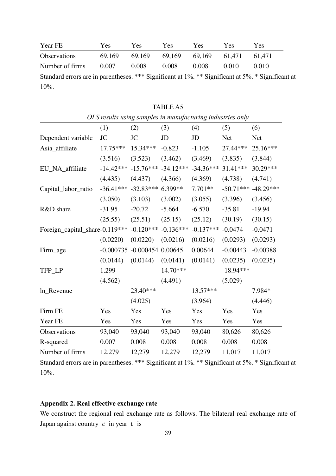| Year FE             | Yes    | Y es   | Yes    | Yes    | Yes    | Yes    |
|---------------------|--------|--------|--------|--------|--------|--------|
| <b>Observations</b> | 69,169 | 69.169 | 69,169 | 69,169 | 61.471 | 61.471 |
| Number of firms     | 0.007  | 0.008  | 0.008  | 0.008  | 0.010  | 0.010  |

TABLE A5

|                                 | OLS results using samples in manufacturing industries only |                       |             |             |             |             |
|---------------------------------|------------------------------------------------------------|-----------------------|-------------|-------------|-------------|-------------|
|                                 | (1)                                                        | (2)                   | (3)         | (4)         | (5)         | (6)         |
| Dependent variable              | <b>JC</b>                                                  | <b>JC</b>             | JD          | JD          | <b>Net</b>  | <b>Net</b>  |
| Asia_affiliate                  | 17.75***                                                   | 15.34***              | $-0.823$    | $-1.105$    | 27.44***    | $25.16***$  |
|                                 | (3.516)                                                    | (3.523)               | (3.462)     | (3.469)     | (3.835)     | (3.844)     |
| EU_NA_affiliate                 | $-14.42***$                                                | $-15.76***$           | $-34.12***$ | $-34.36***$ | 31.41***    | 30.29***    |
|                                 | (4.435)                                                    | (4.437)               | (4.366)     | (4.369)     | (4.738)     | (4.741)     |
| Capital_labor_ratio             | $-36.41***$                                                | $-32.83***$           | 6.399**     | 7.701**     | $-50.71***$ | $-48.29***$ |
|                                 | (3.050)                                                    | (3.103)               | (3.002)     | (3.055)     | (3.396)     | (3.456)     |
| R&D share                       | $-31.95$                                                   | $-20.72$              | $-5.664$    | $-6.570$    | $-35.81$    | $-19.94$    |
|                                 | (25.55)                                                    | (25.51)               | (25.15)     | (25.12)     | (30.19)     | (30.15)     |
| Foreign_capital_share-0.119 *** |                                                            | $-0.120***$           | $-0.136***$ | $-0.137***$ | $-0.0474$   | $-0.0471$   |
|                                 | (0.0220)                                                   | (0.0220)              | (0.0216)    | (0.0216)    | (0.0293)    | (0.0293)    |
| Firm_age                        | $-0.000735$                                                | $-0.000454$ $0.00645$ |             | 0.00644     | $-0.00443$  | $-0.00388$  |
|                                 | (0.0144)                                                   | (0.0144)              | (0.0141)    | (0.0141)    | (0.0235)    | (0.0235)    |
| TFP_LP                          | 1.299                                                      |                       | 14.70***    |             | $-18.94***$ |             |
|                                 | (4.562)                                                    |                       | (4.491)     |             | (5.029)     |             |
| ln_Revenue                      |                                                            | 23.40***              |             | 13.57***    |             | 7.984*      |
|                                 |                                                            | (4.025)               |             | (3.964)     |             | (4.446)     |
| Firm FE                         | Yes                                                        | Yes                   | Yes         | Yes         | Yes         | Yes         |
| Year FE                         | Yes                                                        | Yes                   | Yes         | Yes         | Yes         | Yes         |
| Observations                    | 93,040                                                     | 93,040                | 93,040      | 93,040      | 80,626      | 80,626      |
| R-squared                       | 0.007                                                      | 0.008                 | 0.008       | 0.008       | 0.008       | 0.008       |
| Number of firms                 | 12,279                                                     | 12,279                | 12,279      | 12,279      | 11,017      | 11,017      |

Standard errors are in parentheses. \*\*\* Significant at 1%. \*\* Significant at 5%. \* Significant at 10%.

# **Appendix 2. Real effective exchange rate**

We construct the regional real exchange rate as follows. The bilateral real exchange rate of Japan against country  $c$  in year  $t$  is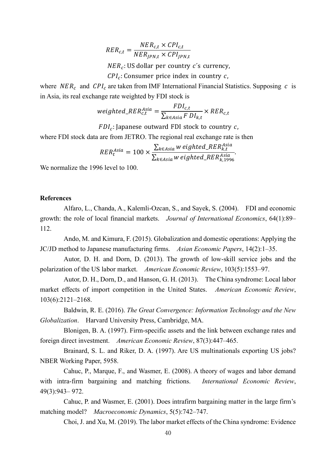$$
RER_{c,t} = \frac{NER_{c,t} \times CPU_{c,t}}{NER_{JPN,t} \times CPU_{JPN,t}}
$$

*NER<sub>c</sub>*: US dollar per country *c*´s currency,

 $\mathcal{CPI}_c$ : Consumer price index in country  $c$ ,

where  $NER_c$  and  $CPI_c$  are taken from IMF International Financial Statistics. Supposing c is in Asia, its real exchange rate weighted by FDI stock is

$$
weighted\_RER_{c,t}^{Asia} = \frac{FDI_{c,t}}{\sum_{k \in Asia} F\ D I_{k,t}} \times RER_{c,t}
$$

 $FDI_c$ : Japanese outward FDI stock to country  $c$ ,

where FDI stock data are from JETRO. The regional real exchange rate is then

$$
RER_t^{Asia} = 100 \times \frac{\sum_{k \in Asia} w \text{ eighted\_RER}_{k,t}^{Asia}}{\sum_{k \in Asia} w \text{ eighted\_RER}_{k,1996}^{Asia}}.
$$

We normalize the 1996 level to 100.

#### **References**

Alfaro, L., Chanda, A., Kalemli-Ozcan, S., and Sayek, S. (2004). FDI and economic growth: the role of local financial markets. *Journal of International Economics*, 64(1):89– 112.

Ando, M. and Kimura, F. (2015). Globalization and domestic operations: Applying the JC/JD method to Japanese manufacturing firms. *Asian Economic Papers*, 14(2):1–35.

Autor, D. H. and Dorn, D. (2013). The growth of low-skill service jobs and the polarization of the US labor market. *American Economic Review*, 103(5):1553–97.

Autor, D. H., Dorn, D., and Hanson, G. H. (2013). The China syndrome: Local labor market effects of import competition in the United States. *American Economic Review*, 103(6):2121–2168.

Baldwin, R. E. (2016). *The Great Convergence: Information Technology and the New Globalization*. Harvard University Press, Cambridge, MA.

Blonigen, B. A. (1997). Firm-specific assets and the link between exchange rates and foreign direct investment. *American Economic Review*, 87(3):447–465.

Brainard, S. L. and Riker, D. A. (1997). Are US multinationals exporting US jobs? NBER Working Paper, 5958.

Cahuc, P., Marque, F., and Wasmer, E. (2008). A theory of wages and labor demand with intra-firm bargaining and matching frictions. *International Economic Review*, 49(3):943– 972.

Cahuc, P. and Wasmer, E. (2001). Does intrafirm bargaining matter in the large firm's matching model? *Macroeconomic Dynamics*, 5(5):742–747.

Choi, J. and Xu, M. (2019). The labor market effects of the China syndrome: Evidence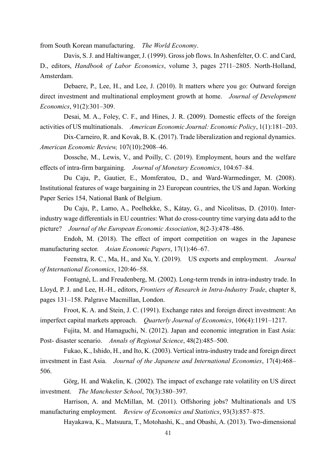from South Korean manufacturing. *The World Economy*.

Davis, S. J. and Haltiwanger, J. (1999). Gross job flows. In Ashenfelter, O. C. and Card, D., editors, *Handbook of Labor Economics*, volume 3, pages 2711–2805. North-Holland, Amsterdam.

Debaere, P., Lee, H., and Lee, J. (2010). It matters where you go: Outward foreign direct investment and multinational employment growth at home. *Journal of Development Economics*, 91(2):301–309.

Desai, M. A., Foley, C. F., and Hines, J. R. (2009). Domestic effects of the foreign activities of US multinationals. *American Economic Journal: Economic Policy*, 1(1):181–203.

Dix-Carneiro, R. and Kovak, B. K. (2017). Trade liberalization and regional dynamics. *American Economic Review,* 107(10):2908–46.

Dossche, M., Lewis, V., and Poilly, C. (2019). Employment, hours and the welfare effects of intra-firm bargaining. *Journal of Monetary Economics*, 104:67–84.

Du Caju, P., Gautier, E., Momferatou, D., and Ward-Warmedinger, M. (2008). Institutional features of wage bargaining in 23 European countries, the US and Japan. Working Paper Series 154, National Bank of Belgium.

Du Caju, P., Lamo, A., Poelhekke, S., Kátay, G., and Nicolitsas, D. (2010). Interindustry wage differentials in EU countries: What do cross-country time varying data add to the picture? *Journal of the European Economic Association*, 8(2-3):478–486.

Endoh, M. (2018). The effect of import competition on wages in the Japanese manufacturing sector. *Asian Economic Papers*, 17(1):46–67.

Feenstra, R. C., Ma, H., and Xu, Y. (2019). US exports and employment. *Journal of International Economics*, 120:46–58.

Fontagné, L. and Freudenberg, M. (2002). Long-term trends in intra-industry trade. In Lloyd, P. J. and Lee, H.-H., editors, *Frontiers of Research in Intra-Industry Trade*, chapter 8, pages 131–158. Palgrave Macmillan, London.

Froot, K. A. and Stein, J. C. (1991). Exchange rates and foreign direct investment: An imperfect capital markets approach. *Quarterly Journal of Economics*, 106(4):1191–1217.

Fujita, M. and Hamaguchi, N. (2012). Japan and economic integration in East Asia: Post- disaster scenario. *Annals of Regional Science*, 48(2):485–500.

Fukao, K., Ishido, H., and Ito, K. (2003). Vertical intra-industry trade and foreign direct investment in East Asia. *Journal of the Japanese and International Economies*, 17(4):468– 506.

Görg, H. and Wakelin, K. (2002). The impact of exchange rate volatility on US direct investment. *The Manchester School*, 70(3):380–397.

Harrison, A. and McMillan, M. (2011). Offshoring jobs? Multinationals and US manufacturing employment. *Review of Economics and Statistics*, 93(3):857–875.

Hayakawa, K., Matsuura, T., Motohashi, K., and Obashi, A. (2013). Two-dimensional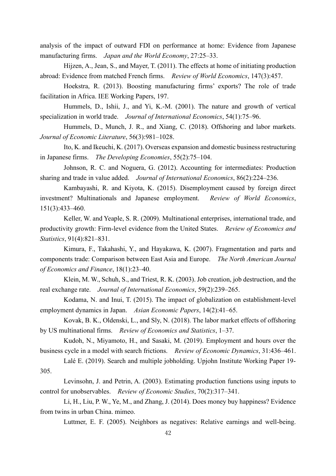analysis of the impact of outward FDI on performance at home: Evidence from Japanese manufacturing firms. *Japan and the World Economy*, 27:25–33.

Hijzen, A., Jean, S., and Mayer, T. (2011). The effects at home of initiating production abroad: Evidence from matched French firms. *Review of World Economics*, 147(3):457.

Hoekstra, R. (2013). Boosting manufacturing firms' exports? The role of trade facilitation in Africa. IEE Working Papers, 197.

Hummels, D., Ishii, J., and Yi, K.-M. (2001). The nature and growth of vertical specialization in world trade. *Journal of International Economics*, 54(1):75–96.

Hummels, D., Munch, J. R., and Xiang, C. (2018). Offshoring and labor markets. *Journal of Economic Literature*, 56(3):981–1028.

Ito, K. and Ikeuchi, K. (2017). Overseas expansion and domestic business restructuring in Japanese firms. *The Developing Economies*, 55(2):75–104.

Johnson, R. C. and Noguera, G. (2012). Accounting for intermediates: Production sharing and trade in value added. *Journal of International Economics*, 86(2):224–236.

Kambayashi, R. and Kiyota, K. (2015). Disemployment caused by foreign direct investment? Multinationals and Japanese employment. *Review of World Economics*, 151(3):433–460.

Keller, W. and Yeaple, S. R. (2009). Multinational enterprises, international trade, and productivity growth: Firm-level evidence from the United States. *Review of Economics and Statistics*, 91(4):821–831.

Kimura, F., Takahashi, Y., and Hayakawa, K. (2007). Fragmentation and parts and components trade: Comparison between East Asia and Europe. *The North American Journal of Economics and Finance*, 18(1):23–40.

Klein, M. W., Schuh, S., and Triest, R. K. (2003). Job creation, job destruction, and the real exchange rate. *Journal of International Economics*, 59(2):239–265.

Kodama, N. and Inui, T. (2015). The impact of globalization on establishment-level employment dynamics in Japan. *Asian Economic Papers*, 14(2):41–65.

Kovak, B. K., Oldenski, L., and Sly, N. (2018). The labor market effects of offshoring by US multinational firms. *Review of Economics and Statistics*, 1–37.

Kudoh, N., Miyamoto, H., and Sasaki, M. (2019). Employment and hours over the business cycle in a model with search frictions. *Review of Economic Dynamics*, 31:436–461.

Lalé E. (2019). Search and multiple jobholding. Upjohn Institute Working Paper 19- 305.

Levinsohn, J. and Petrin, A. (2003). Estimating production functions using inputs to control for unobservables. *Review of Economic Studies*, 70(2):317–341.

Li, H., Liu, P. W., Ye, M., and Zhang, J. (2014). Does money buy happiness? Evidence from twins in urban China. mimeo.

Luttmer, E. F. (2005). Neighbors as negatives: Relative earnings and well-being.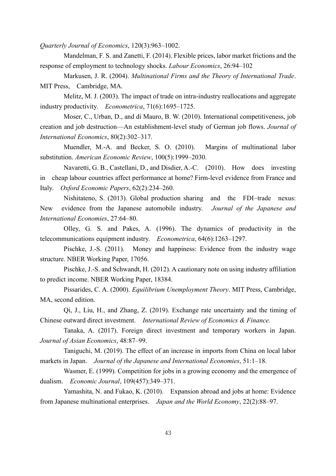*Quarterly Journal of Economics*, 120(3):963–1002.

Mandelman, F. S. and Zanetti, F. (2014). Flexible prices, labor market frictions and the response of employment to technology shocks. *Labour Economics*, 26:94–102

Markusen, J. R. (2004). *Multinational Firms and the Theory of International Trade*. MIT Press, Cambridge, MA.

Melitz, M. J. (2003). The impact of trade on intra-industry reallocations and aggregate industry productivity. *Econometrica*, 71(6):1695–1725.

Moser, C., Urban, D., and di Mauro, B. W. (2010). International competitiveness, job creation and job destruction—An establishment-level study of German job flows. *Journal of International Economics*, 80(2):302–317.

Muendler, M.-A. and Becker, S. O. (2010). Margins of multinational labor substitution. *American Economic Review*, 100(5):1999–2030.

Navaretti, G. B., Castellani, D., and Disdier, A.-C. (2010). How does investing in cheap labour countries affect performance at home? Firm-level evidence from France and Italy. *Oxford Economic Papers*, 62(2):234–260.

Nishitateno, S. (2013). Global production sharing and the FDI–trade nexus: New evidence from the Japanese automobile industry. *Journal of the Japanese and International Economies*, 27:64–80.

Olley, G. S. and Pakes, A. (1996). The dynamics of productivity in the telecommunications equipment industry. *Econometrica*, 64(6):1263–1297.

Pischke, J.-S. (2011). Money and happiness: Evidence from the industry wage structure. NBER Working Paper, 17056.

Pischke, J.-S. and Schwandt, H. (2012). A cautionary note on using industry affiliation to predict income. NBER Working Paper, 18384.

Pissarides, C. A. (2000). *Equilibrium Unemployment Theory*. MIT Press, Cambridge, MA, second edition.

Qi, J., Liu, H., and Zhang, Z. (2019). Exchange rate uncertainty and the timing of Chinese outward direct investment. *International Review of Economics & Finance.*

Tanaka, A. (2017). Foreign direct investment and temporary workers in Japan. *Journal of Asian Economics*, 48:87–99.

Taniguchi, M. (2019). The effect of an increase in imports from China on local labor markets in Japan. *Journal of the Japanese and International Economies*, 51:1–18.

Wasmer, E. (1999). Competition for jobs in a growing economy and the emergence of dualism. *Economic Journal*, 109(457):349–371.

Yamashita, N. and Fukao, K. (2010). Expansion abroad and jobs at home: Evidence from Japanese multinational enterprises. *Japan and the World Economy*, 22(2):88–97.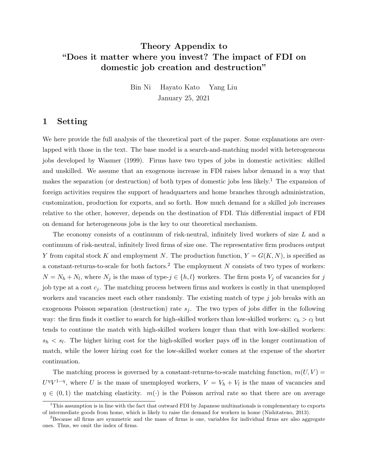# Theory Appendix to "Does it matter where you invest? The impact of FDI on domestic job creation and destruction"

Bin Ni Hayato Kato Yang Liu January 25, 2021

### 1 Setting

We here provide the full analysis of the theoretical part of the paper. Some explanations are overlapped with those in the text. The base model is a search-and-matching model with heterogeneous jobs developed by Wasmer (1999). Firms have two types of jobs in domestic activities: skilled and unskilled. We assume that an exogenous increase in FDI raises labor demand in a way that makes the separation (or destruction) of both types of domestic jobs less likely.<sup>1</sup> The expansion of foreign activities requires the support of headquarters and home branches through administration, customization, production for exports, and so forth. How much demand for a skilled job increases relative to the other, however, depends on the destination of FDI. This differential impact of FDI on demand for heterogeneous jobs is the key to our theoretical mechanism.

The economy consists of a continuum of risk-neutral, infinitely lived workers of size L and a continuum of risk-neutral, infinitely lived firms of size one. The representative firm produces output Y from capital stock K and employment N. The production function,  $Y = G(K, N)$ , is specified as a constant-returns-to-scale for both factors.<sup>2</sup> The employment N consists of two types of workers:  $N = N_h + N_l$ , where  $N_j$  is the mass of type- $j \in \{h, l\}$  workers. The firm posts  $V_j$  of vacancies for j job type at a cost  $c_j$ . The matching process between firms and workers is costly in that unemployed workers and vacancies meet each other randomly. The existing match of type  $j$  job breaks with an exogenous Poisson separation (destruction) rate  $s_i$ . The two types of jobs differ in the following way: the firm finds it costlier to search for high-skilled workers than low-skilled workers:  $c_h > c_l$  but tends to continue the match with high-skilled workers longer than that with low-skilled workers:  $s_h \leq s_l$ . The higher hiring cost for the high-skilled worker pays off in the longer continuation of match, while the lower hiring cost for the low-skilled worker comes at the expense of the shorter continuation.

The matching process is governed by a constant-returns-to-scale matching function,  $m(U, V)$  =  $U^{\eta}V^{1-\eta}$ , where U is the mass of unemployed workers,  $V = V_h + V_l$  is the mass of vacancies and  $\eta \in (0,1)$  the matching elasticity.  $m(\cdot)$  is the Poisson arrival rate so that there are on average

 $1$ This assumption is in line with the fact that outward FDI by Japanese multinationals is complementary to exports of intermediate goods from home, which is likely to raise the demand for workers in home (Nishitateno, 2013).

 $2B$ ecause all firms are symmetric and the mass of firms is one, variables for individual firms are also aggregate ones. Thus, we omit the index of firms.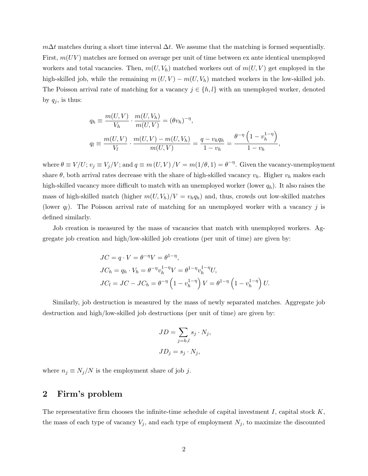$m\Delta t$  matches during a short time interval  $\Delta t$ . We assume that the matching is formed sequentially. First,  $m(UV)$  matches are formed on average per unit of time between ex ante identical unemployed workers and total vacancies. Then,  $m(U, V_h)$  matched workers out of  $m(U, V)$  get employed in the high-skilled job, while the remaining  $m(U, V) - m(U, V_h)$  matched workers in the low-skilled job. The Poisson arrival rate of matching for a vacancy  $j \in \{h, l\}$  with an unemployed worker, denoted by  $q_j$ , is thus:

$$
q_h \equiv \frac{m(U, V)}{V_h} \cdot \frac{m(U, V_h)}{m(U, V)} = (\theta v_h)^{-\eta},
$$
  
\n
$$
q_l \equiv \frac{m(U, V)}{V_l} \cdot \frac{m(U, V) - m(U, V_h)}{m(U, V)} = \frac{q - v_h q_h}{1 - v_h} = \frac{\theta^{-\eta} \left(1 - v_h^{1 - \eta}\right)}{1 - v_h},
$$

where  $\theta \equiv V/U$ ;  $v_j \equiv V_j/V$ ; and  $q \equiv m(U, V)/V = m(1/\theta, 1) = \theta^{-\eta}$ . Given the vacancy-unemployment share  $\theta$ , both arrival rates decrease with the share of high-skilled vacancy  $v_h$ . Higher  $v_h$  makes each high-skilled vacancy more difficult to match with an unemployed worker (lower  $q_h$ ). It also raises the mass of high-skilled match (higher  $m(U, V_h)/V = v_h q_h$ ) and, thus, crowds out low-skilled matches (lower  $q_l$ ). The Poisson arrival rate of matching for an unemployed worker with a vacancy j is defined similarly.

Job creation is measured by the mass of vacancies that match with unemployed workers. Aggregate job creation and high/low-skilled job creations (per unit of time) are given by:

$$
JC = q \cdot V = \theta^{-\eta} V = \theta^{1-\eta},
$$
  
\n
$$
JC_h = q_h \cdot V_h = \theta^{-\eta} v_h^{1-\eta} V = \theta^{1-\eta} v_h^{1-\eta} U,
$$
  
\n
$$
JC_l = JC - JC_h = \theta^{-\eta} \left(1 - v_h^{1-\eta}\right) V = \theta^{1-\eta} \left(1 - v_h^{1-\eta}\right) U.
$$

Similarly, job destruction is measured by the mass of newly separated matches. Aggregate job destruction and high/low-skilled job destructions (per unit of time) are given by:

$$
JD = \sum_{j=h,l} s_j \cdot N_j,
$$
  

$$
JD_j = s_j \cdot N_j,
$$

where  $n_j \equiv N_j/N$  is the employment share of job j.

### 2 Firm's problem

The representative firm chooses the infinite-time schedule of capital investment I, capital stock  $K$ , the mass of each type of vacancy  $V_j$ , and each type of employment  $N_j$ , to maximize the discounted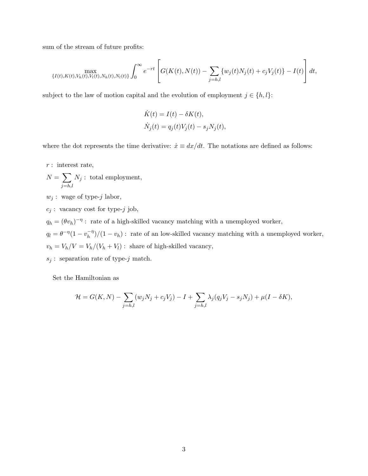sum of the stream of future profits:

$$
\max_{\{I(t),K(t),V_h(t),V_l(t),N_h(t),N_l(t)\}} \int_0^\infty e^{-rt} \left[ G(K(t),N(t)) - \sum_{j=h,l} \{w_j(t)N_j(t) + c_j V_j(t)\} - I(t) \right] dt,
$$

subject to the law of motion capital and the evolution of employment  $j \in \{h, l\}$ :

$$
\dot{K}(t) = I(t) - \delta K(t),
$$
  
\n
$$
\dot{N}_j(t) = q_j(t)V_j(t) - s_j N_j(t),
$$

where the dot represents the time derivative:  $\dot{x} \equiv dx/dt$ . The notations are defined as follows:

- $r$ : interest rate,
- $N = \sum$  $j=h,l$  $N_j$ : total employment,
- $w_j$ : wage of type-j labor,
- $c_j$ : vacancy cost for type-j job,

 $q_h = (\theta v_h)^{-\eta}$ : rate of a high-skilled vacancy matching with a unemployed worker,

 $q_l = \theta^{-\eta} (1 - v_h^{-\eta})$  $\binom{-\eta}{h}$  (1 –  $v_h$ ): rate of an low-skilled vacancy matching with a unemployed worker,  $v_h = V_h/V = V_h/(V_h+V_l)$  : share of high-skilled vacancy,

 $s_j$ : separation rate of type-j match.

Set the Hamiltonian as

$$
\mathcal{H} = G(K,N) - \sum_{j=h,l} (w_j N_j + c_j V_j) - I + \sum_{j=h,l} \lambda_j (q_j V_j - s_j N_j) + \mu (I - \delta K),
$$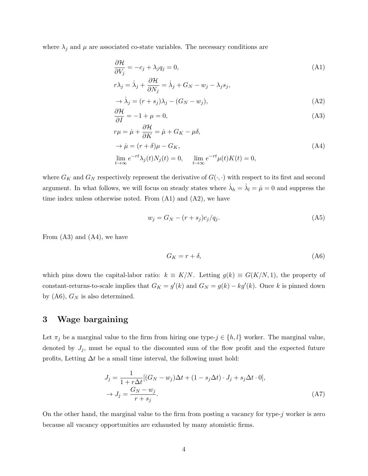where  $\lambda_j$  and  $\mu$  are associated co-state variables. The necessary conditions are

$$
\frac{\partial \mathcal{H}}{\partial V_j} = -c_j + \lambda_j q_j = 0,\tag{A1}
$$

$$
r\lambda_j = \dot{\lambda}_j + \frac{\partial \mathcal{H}}{\partial N_j} = \dot{\lambda}_j + G_N - w_j - \lambda_j s_j,
$$

$$
\rightarrow \dot{\lambda}_j = (r + s_j)\lambda_j - (G_N - w_j),\tag{A2}
$$

$$
\frac{\partial \mathcal{H}}{\partial I} = -1 + \mu = 0,\tag{A3}
$$

$$
r\mu = \dot{\mu} + \frac{\partial \mathcal{H}}{\partial K} = \dot{\mu} + G_K - \mu \delta,
$$
  
\n
$$
\rightarrow \dot{\mu} = (r + \delta)\mu - G_K,
$$
  
\n
$$
\lim_{t \to \infty} e^{-rt} \lambda_j(t) N_j(t) = 0, \quad \lim_{t \to \infty} e^{-rt} \mu(t) K(t) = 0,
$$
\n(A4)

where  $G_K$  and  $G_N$  respectively represent the derivative of  $G(\cdot, \cdot)$  with respect to its first and second argument. In what follows, we will focus on steady states where  $\dot{\lambda}_h = \dot{\lambda}_l = \dot{\mu} = 0$  and suppress the time index unless otherwise noted. From (A1) and (A2), we have

$$
w_j = G_N - (r + s_j)c_j/q_j. \tag{A5}
$$

From (A3) and (A4), we have

$$
G_K = r + \delta,\tag{A6}
$$

which pins down the capital-labor ratio:  $k \equiv K/N$ . Letting  $g(k) \equiv G(K/N, 1)$ , the property of constant-returns-to-scale implies that  $G_K = g'(k)$  and  $G_N = g(k) - kg'(k)$ . Once k is pinned down by  $(A6)$ ,  $G_N$  is also determined.

## 3 Wage bargaining

Let  $\pi_j$  be a marginal value to the firm from hiring one type- $j \in \{h, l\}$  worker. The marginal value, denoted by  $J_j$ , must be equal to the discounted sum of the flow profit and the expected future profits, Letting  $\Delta t$  be a small time interval, the following must hold:

$$
J_j = \frac{1}{1 + r\Delta t} [(G_N - w_j)\Delta t + (1 - s_j\Delta t) \cdot J_j + s_j\Delta t \cdot 0],
$$
  
\n
$$
\rightarrow J_j = \frac{G_N - w_j}{r + s_j}.
$$
\n(A7)

On the other hand, the marginal value to the firm from posting a vacancy for type- $j$  worker is zero because all vacancy opportunities are exhausted by many atomistic firms.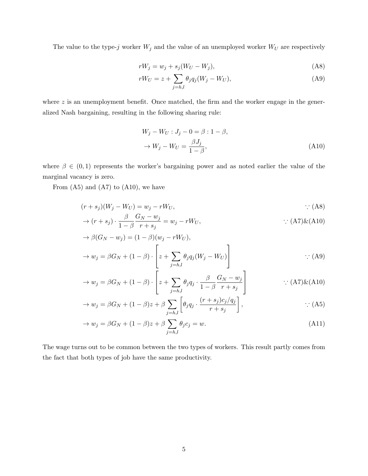The value to the type-j worker  $W_j$  and the value of an unemployed worker  $W_U$  are respectively

$$
rW_j = w_j + s_j(W_U - W_j),\tag{A8}
$$

$$
rW_U = z + \sum_{j=h,l} \theta_j q_j (W_j - W_U), \tag{A9}
$$

where  $z$  is an unemployment benefit. Once matched, the firm and the worker engage in the generalized Nash bargaining, resulting in the following sharing rule:

$$
W_j - W_U : J_j - 0 = \beta : 1 - \beta,
$$
  
\n
$$
\rightarrow W_j - W_U = \frac{\beta J_j}{1 - \beta},
$$
\n(A10)

where  $\beta \in (0,1)$  represents the worker's bargaining power and as noted earlier the value of the marginal vacancy is zero.

From  $(A5)$  and  $(A7)$  to  $(A10)$ , we have

$$
(r+s_j)(W_j - W_U) = w_j - rW_U, \qquad \qquad \therefore \text{(A8)}
$$

$$
\rightarrow (r+s_j) \cdot \frac{\beta}{1-\beta} \frac{G_N - w_j}{r+s_j} = w_j - rW_U, \qquad \qquad \therefore (A7) \& (A10)
$$

$$
\rightarrow \beta(G_N - w_j) = (1 - \beta)(w_j - rW_U),
$$
  
\n
$$
\rightarrow w_j = \beta G_N + (1 - \beta) \cdot \left[ z + \sum_{j=h,l} \theta_j q_j (W_j - W_U) \right]
$$
 (A9)

$$
\rightarrow w_j = \beta G_N + (1 - \beta) \cdot \left[ z + \sum_{j=h,l} \theta_j q_j \cdot \frac{\beta}{1 - \beta} \frac{G_N - w_j}{r + s_j} \right] \qquad \qquad \therefore \text{(A7)} \& \text{(A10)}
$$

$$
\rightarrow w_j = \beta G_N + (1 - \beta)z + \beta \sum_{j=h,l} \left[ \theta_j q_j \cdot \frac{(r+s_j)c_j/q_j}{r+s_j} \right],
$$
 (A5)

$$
\to w_j = \beta G_N + (1 - \beta)z + \beta \sum_{j=h,l} \theta_j c_j = w.
$$
\n(A11)

The wage turns out to be common between the two types of workers. This result partly comes from the fact that both types of job have the same productivity.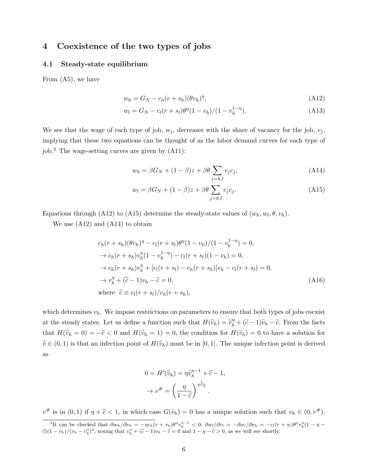## 4 Coexistence of the two types of jobs

#### 4.1 Steady-state equilibrium

From (A5), we have

$$
w_h = G_N - c_h(r + s_h)(\theta v_h)^{\eta},\tag{A12}
$$

$$
w_l = G_N - c_l(r + s_l)\theta^{\eta}(1 - v_h)/(1 - v_h^{1 - \eta}).
$$
\n(A13)

We see that the wage of each type of job,  $w_i$ , decreases with the share of vacancy for the job,  $v_i$ , implying that these two equations can be thought of as the labor demand curves for each type of job.<sup>3</sup> The wage-setting curves are given by  $(A11)$ :

$$
w_h = \beta G_N + (1 - \beta)z + \beta \theta \sum_{j=h,l} v_j c_j,
$$
\n(A14)

$$
w_l = \beta G_N + (1 - \beta)z + \beta \theta \sum_{j=h,l} v_j c_j.
$$
 (A15)

Equations through (A12) to (A15) determine the steady-state values of  $(w_h, w_l, \theta, v_h)$ .

We use (A12) and (A14) to obtain

$$
c_h(r + s_h)(\theta v_h)^{\eta} - c_l(r + s_l)\theta^{\eta}(1 - v_h)/(1 - v_h^{1 - \eta}) = 0,
$$
  
\n
$$
\rightarrow c_h(r + s_h)v_h^{\eta}(1 - v_h^{1 - \eta}) - c_l(r + s_l)(1 - v_h) = 0,
$$
  
\n
$$
\rightarrow c_h(r + s_h)v_h^{\eta} + [c_l(r + s_l) - c_h(r + s_h)]v_h - c_l(r + s_l) = 0,
$$
  
\n
$$
\rightarrow v_h^{\eta} + (\tilde{c} - 1)v_h - \tilde{c} = 0,
$$
  
\nwhere  $\tilde{c} \equiv c_l(r + s_l)/c_h(r + s_h),$  (A16)

which determines  $v_h$ . We impose restrictions on parameters to ensure that both types of jobs coexist at the steady states. Let us define a function such that  $H(\tilde{v}_h) = \tilde{v}_h^{\eta} + (\tilde{c} - 1)\tilde{v}_h - \tilde{c}$ . From the facts that  $H(\tilde{v}_h = 0) = -\tilde{c} < 0$  and  $H(\tilde{v}_h = 1) = 0$ , the condition for  $H(\tilde{v}_h) = 0$  to have a solution for  $\tilde{v} \in (0,1)$  is that an infection point of  $H(\tilde{v}_h)$  must be in [0, 1]. The unique infection point is derived as

$$
0 = H'(\widetilde{v}_h) = \eta \widetilde{v}_h^{\eta-1} + \widetilde{c} - 1,
$$
  

$$
\rightarrow v^{\#} = \left(\frac{\eta}{1 - \widetilde{c}}\right)^{\frac{1}{1 - \eta}}.
$$

 $v^{\#}$  is in  $(0,1)$  if  $\eta + \tilde{c} < 1$ , in which case  $G(\tilde{v}_h) = 0$  has a unique solution such that  $v_h \in (0, v^{\#})$ .

<sup>&</sup>lt;sup>3</sup>It can be checked that  $\partial w_h / \partial v_h = -\eta c_h (r + s_h) \theta^{\eta} v_h^{\eta - 1} < 0$ ;  $\partial w_l / \partial v_l = -\partial w_l / \partial v_h = -c_l (r + s_l) \theta^{\eta} v_h^{\eta} (1 - \eta \tilde{c}(1-v_h)/(v_h-v_h^{\eta})^2$ , noting that  $v_h^{\eta}+(\tilde{c}-1)v_h-\tilde{c}=0$  and  $1-\eta-\tilde{c}>0$ , as we will see shortly.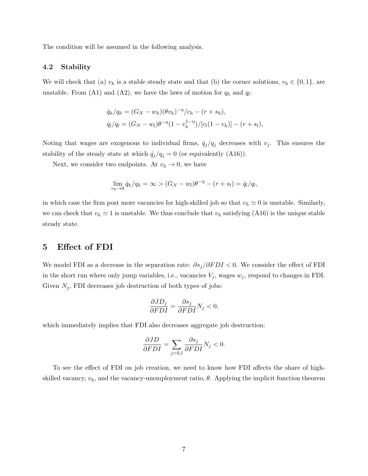The condition will be assumed in the following analysis.

#### 4.2 Stability

We will check that (a)  $v_h$  is a stable steady state and that (b) the corner solutions,  $v_h \in \{0, 1\}$ , are unstable. From (A1) and (A2), we have the laws of motion for  $q_h$  and  $q_l$ :

$$
\dot{q}_h/q_h = (G_N - w_h)(\theta v_h)^{-\eta}/c_h - (r + s_h),
$$
  

$$
\dot{q}_l/q_l = (G_N - w_l)\theta^{-\eta}(1 - v_h^{1-\eta})/[c_l(1 - v_h)] - (r + s_l),
$$

Noting that wages are exogenous to individual firms,  $\dot{q}_j/q_j$  decreases with  $v_j$ . This ensures the stability of the steady state at which  $\dot{q}_j/q_j = 0$  (or equivalently (A16)).

Next, we consider two endpoints. At  $v_h \to 0$ , we have

$$
\lim_{v_h \to 0} \dot{q}_h / q_h = \infty > (G_N - w_l)\theta^{-\eta} - (r + s_l) = \dot{q}_l / q_l,
$$

in which case the firm post more vacancies for high-skilled job so that  $v_h \approx 0$  is unstable. Similarly, we can check that  $v_h \approx 1$  is unstable. We thus conclude that  $v_h$  satisfying (A16) is the unique stable steady state.

# 5 Effect of FDI

We model FDI as a decrease in the separation rate:  $\partial s_j/\partial FDI$  < 0. We consider the effect of FDI in the short run where only jump variables, i.e., vacancies  $V_j$ , wages  $w_j$ , respond to changes in FDI. Given  $N_j$ , FDI decreases job destruction of both types of jobs:

$$
\frac{\partial JD_j}{\partial FDI} = \frac{\partial s_j}{\partial FDI} N_j < 0,
$$

which immediately implies that FDI also decreases aggregate job destruction:

$$
\frac{\partial JD}{\partial FDI} = \sum_{j=h,l} \frac{\partial s_j}{\partial FDI} N_j < 0.
$$

To see the effect of FDI on job creation, we need to know how FDI affects the share of highskilled vacancy,  $v_h$ , and the vacancy-unemployment ratio,  $\theta$ . Applying the implicit function theorem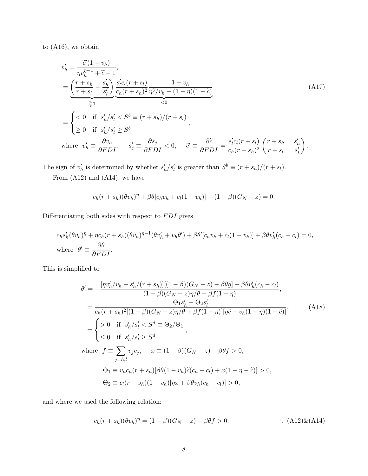to (A16), we obtain

$$
v'_{h} = \frac{\tilde{c}'(1 - v_{h})}{\eta v_{h}^{\eta - 1} + \tilde{c} - 1},
$$
  
\n
$$
= \underbrace{\left(\frac{r + s_{h}}{r + s_{l}} - \frac{s'_{h}}{s'_{l}}\right)}_{\geq 0} \underbrace{\frac{s'_{l}c_{l}(r + s_{l})}{c_{h}(r + s_{h})^{2}} \frac{1 - v_{h}}{\eta \tilde{c}/v_{h} - (1 - \eta)(1 - \tilde{c})}}_{< 0}
$$
\n
$$
= \begin{cases}\n< 0 & \text{if } s'_{h}/s'_{l} < S^{b} \equiv (r + s_{h})/(r + s_{l}) \\
\geq 0 & \text{if } s'_{h}/s'_{l} \geq S^{b} \\
\text{where } v'_{h} \equiv \frac{\partial v_{h}}{\partial FDI}, \quad s'_{j} \equiv \frac{\partial s_{j}}{\partial FDI} < 0, \quad \tilde{c}' \equiv \frac{\partial \tilde{c}}{\partial FDI} = \frac{s'_{l}c_{l}(r + s_{l})}{c_{h}(r + s_{h})^{2}} \left(\frac{r + s_{h}}{r + s_{l}} - \frac{s'_{h}}{s'_{l}}\right).\n\end{cases}
$$
\n(A17)

The sign of  $v'_h$  is determined by whether  $s'_h/s'_l$  is greater than  $S^b \equiv (r + s_h)/(r + s_l)$ .

From (A12) and (A14), we have

$$
c_h(r + s_h)(\theta v_h)^{\eta} + \beta \theta[c_h v_h + c_l(1 - v_h)] - (1 - \beta)(G_N - z) = 0.
$$

Differentiating both sides with respect to  $FDI$  gives

$$
c_h s'_h (\theta v_h)^{\eta} + \eta c_h (r + s_h) (\theta v_h)^{\eta - 1} (\theta v'_h + v_h \theta') + \beta \theta' [c_h v_h + c_l (1 - v_h)] + \beta \theta v'_h (c_h - c_l) = 0,
$$
  
where  $\theta' \equiv \frac{\partial \theta}{\partial F D I}.$ 

This is simplified to

$$
\theta' = -\frac{[\eta v'_h/v_h + s'_h/(r+s_h)][(1-\beta)(G_N - z) - \beta\theta g] + \beta\theta v'_h(c_h - c_l)}{(1-\beta)(G_N - z)\eta/\theta + \beta f(1-\eta)},
$$
  
\n
$$
= \frac{\Theta_1 s'_h - \Theta_2 s'_l}{c_h(r+s_h)^2[(1-\beta)(G_N - z)\eta/\theta + \beta f(1-\eta)][\eta\tilde{c} - v_h(1-\eta)(1-\tilde{c})]},
$$
  
\n
$$
= \begin{cases}\n> 0 & \text{if } s'_h/s'_l < S^d \equiv \Theta_2/\Theta_1 \\
\leq 0 & \text{if } s'_h/s'_l \geq S^d \\
\text{where } f \equiv \sum_{j=h,l} v_j c_j, \quad x \equiv (1-\beta)(G_N - z) - \beta\theta f > 0, \\
\Theta_1 \equiv v_h c_h(r+s_h)[\beta\theta(1-v_h)\tilde{c}(c_h - c_l) + x(1-\eta-\tilde{c})] > 0, \\
\Theta_2 \equiv c_l(r+s_h)(1-v_h)[\eta x + \beta\theta v_h(c_h - c_l)] > 0,\n\end{cases} (A18)
$$

and where we used the following relation:

$$
c_h(r+s_h)(\theta v_h)^{\eta} = (1-\beta)(G_N-z) - \beta \theta f > 0.
$$
 (A12) $\&(A14)$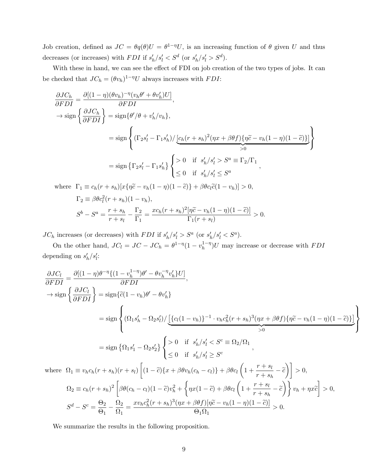Job creation, defined as  $JC = \theta q(\theta)U = \theta^{1-\eta}U$ , is an increasing function of  $\theta$  given U and thus decreases (or increases) with *FDI* if  $s'_h/s'_l < S^d$  (or  $s'_h/s'_l > S^d$ ).

With these in hand, we can see the effect of FDI on job creation of the two types of jobs. It can be checked that  $JC_h = (\theta v_h)^{1-\eta}U$  always increases with  $FDI$ :

$$
\frac{\partial JC_h}{\partial FDI} = \frac{\partial [(1-\eta)(\theta v_h)^{-\eta}(v_h \theta' + \theta v'_h)U]}{\partial FDI},
$$
  
\n
$$
\rightarrow \text{sign}\left\{\frac{\partial JC_h}{\partial FDI}\right\} = \text{sign}\left\{\theta'/\theta + v'_h/v_h\right\},
$$
  
\n
$$
= \text{sign}\left\{\left(\Gamma_2 s'_l - \Gamma_1 s'_h\right) / \underbrace{\left[c_h(r+s_h)^2(\eta x + \beta \theta f)\left\{\eta \tilde{c} - v_h(1-\eta)(1-\tilde{c})\right\}\right]}_{>0}\right\}
$$
  
\n
$$
= \text{sign}\left\{\Gamma_2 s'_l - \Gamma_1 s'_h\right\} \begin{cases} > 0 & \text{if } s'_h/s'_l > S^a \equiv \Gamma_2/\Gamma_1 \\ \le 0 & \text{if } s'_h/s'_l \le S^a \end{cases}
$$
  
\nwhere  $\Gamma_1 \equiv c_h(r+s_h)[x\{\eta \tilde{c} - v_h(1-\eta)(1-\tilde{c})\} + \beta \theta c_l \tilde{c}(1-v_h)] > 0$ ,

where 
$$
\Gamma_1 \equiv c_h(r + s_h)[x\{\eta \tilde{c} - v_h(1 - \eta)(1 - \tilde{c})\} + \beta \theta c_l \tilde{c}(1 - v_h)] > 0,
$$
  
\n
$$
\Gamma_2 \equiv \beta \theta c_l^2(r + s_h)(1 - v_h),
$$
  
\n
$$
S^b - S^a = \frac{r + s_h}{r + s_l} - \frac{\Gamma_2}{\Gamma_1} = \frac{xc_h(r + s_h)^2[\eta \tilde{c} - v_h(1 - \eta)(1 - \tilde{c})]}{\Gamma_1(r + s_l)} > 0.
$$

 $JC_h$  increases (or decreases) with  $FDI$  if  $s'_h/s'_l > S^a$  (or  $s'_h/s'_l < S^a$ ).

On the other hand,  $JC_l = JC - JC_h = \theta^{1-\eta}(1 - v_h^{1-\eta})$  $h^{1-\eta}$ U may increase or decrease with  $FDI$ depending on  $s'_h/s'_i$ :

$$
\frac{\partial JC_l}{\partial FDI} = \frac{\partial [(1-\eta)\theta^{-\eta}\{(1-v_h^{1-\eta})\theta' - \theta v_h^{-\eta} v_h'\}U]}{\partial FDI},
$$
  
\n
$$
\rightarrow \text{sign}\left\{\frac{\partial JC_l}{\partial FDI}\right\} = \text{sign}\left\{ \tilde{c}(1-v_h)\theta' - \theta v_h'\right\}
$$
  
\n
$$
= \text{sign}\left\{ \left( \Omega_1 s_h' - \Omega_2 s_l' \right) / \underbrace{\left[ \{c_l(1-v_h)\}^{-1} \cdot v_h c_h^2 (r+s_h)^3 (\eta x + \beta \theta f) \{ \eta \tilde{c} - v_h(1-\eta)(1-\tilde{c}) \} \right]}_{>0} \right\}
$$
  
\n
$$
= \text{sign}\left\{ \Omega_1 s_1' - \Omega_2 s_2' \right\} \left\{ \begin{array}{ll} > 0 & \text{if } s_h'/s_l' < S^c \equiv \Omega_2/\Omega_1 \\ \leq 0 & \text{if } s_h'/s_l' \geq S^c \end{array} \right\},
$$
  
\nwhere  $\Omega_1 \equiv v_h c_h (r+s_h)(r+s_l) \left[ (1-\tilde{c}) \{ x + \beta \theta v_h (c_h - c_l) \} + \beta \theta c_l \left( 1 + \frac{r+s_l}{r+s_h} - \tilde{c} \right) \right] > 0,$   
\n $\Omega_2 \equiv c_h (r+s_h)^2 \left[ \beta \theta (c_h - c_l)(1-\tilde{c}) v_h^2 + \left\{ \eta x (1-\tilde{c}) + \beta \theta c_l \left( 1 + \frac{r+s_l}{r+s_h} - \tilde{c} \right) \right\} v_h + \eta x \tilde{c} \right] > 0,$   
\n
$$
S^d - S^c = \frac{\Theta_2}{\Theta_1} - \frac{\Omega_2}{\Omega_1} = \frac{x v_h c_h^2 (r+s_h)^3 (\eta x + \beta \theta f) [\eta \tilde{c} - v_h (1-\eta)(1-\tilde{c})]}{\Theta_1 \Omega_1} > 0.
$$

We summarize the results in the following proposition.